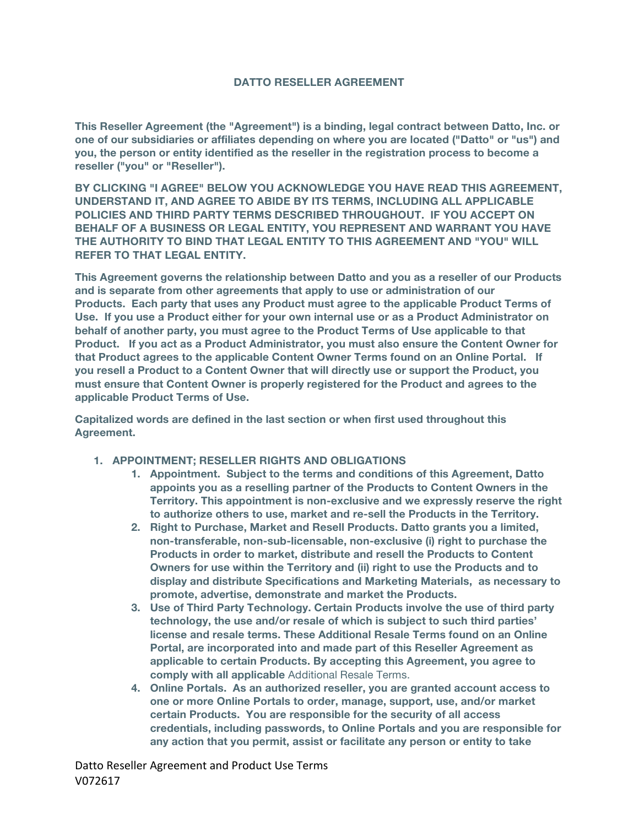#### **DATTO RESELLER AGREEMENT**

**This Reseller Agreement (the "Agreement") is a binding, legal contract between Datto, Inc. or one of our subsidiaries or affiliates depending on where you are located ("Datto" or "us") and you, the person or entity identified as the reseller in the registration process to become a reseller ("you" or "Reseller").** 

**BY CLICKING "I AGREE" BELOW YOU ACKNOWLEDGE YOU HAVE READ THIS AGREEMENT, UNDERSTAND IT, AND AGREE TO ABIDE BY ITS TERMS, INCLUDING ALL APPLICABLE POLICIES AND THIRD PARTY TERMS DESCRIBED THROUGHOUT. IF YOU ACCEPT ON BEHALF OF A BUSINESS OR LEGAL ENTITY, YOU REPRESENT AND WARRANT YOU HAVE THE AUTHORITY TO BIND THAT LEGAL ENTITY TO THIS AGREEMENT AND "YOU" WILL REFER TO THAT LEGAL ENTITY.**

**This Agreement governs the relationship between Datto and you as a reseller of our Products and is separate from other agreements that apply to use or administration of our Products. Each party that uses any Product must agree to the applicable Product Terms of Use. If you use a Product either for your own internal use or as a Product Administrator on behalf of another party, you must agree to the Product Terms of Use applicable to that Product. If you act as a Product Administrator, you must also ensure the Content Owner for that Product agrees to the applicable Content Owner Terms found on an Online Portal. If you resell a Product to a Content Owner that will directly use or support the Product, you must ensure that Content Owner is properly registered for the Product and agrees to the applicable Product Terms of Use.**

**Capitalized words are defined in the last section or when first used throughout this Agreement.**

- **1. APPOINTMENT; RESELLER RIGHTS AND OBLIGATIONS**
	- **1. Appointment. Subject to the terms and conditions of this Agreement, Datto appoints you as a reselling partner of the Products to Content Owners in the Territory. This appointment is non-exclusive and we expressly reserve the right to authorize others to use, market and re-sell the Products in the Territory.**
	- **2. Right to Purchase, Market and Resell Products. Datto grants you a limited, non-transferable, non-sub-licensable, non-exclusive (i) right to purchase the Products in order to market, distribute and resell the Products to Content Owners for use within the Territory and (ii) right to use the Products and to display and distribute Specifications and Marketing Materials, as necessary to promote, advertise, demonstrate and market the Products.**
	- **3. Use of Third Party Technology. Certain Products involve the use of third party technology, the use and/or resale of which is subject to such third parties' license and resale terms. These Additional Resale Terms found on an Online Portal, are incorporated into and made part of this Reseller Agreement as applicable to certain Products. By accepting this Agreement, you agree to comply with all applicable** Additional Resale Terms.
	- **4. Online Portals. As an authorized reseller, you are granted account access to one or more Online Portals to order, manage, support, use, and/or market certain Products. You are responsible for the security of all access credentials, including passwords, to Online Portals and you are responsible for any action that you permit, assist or facilitate any person or entity to take**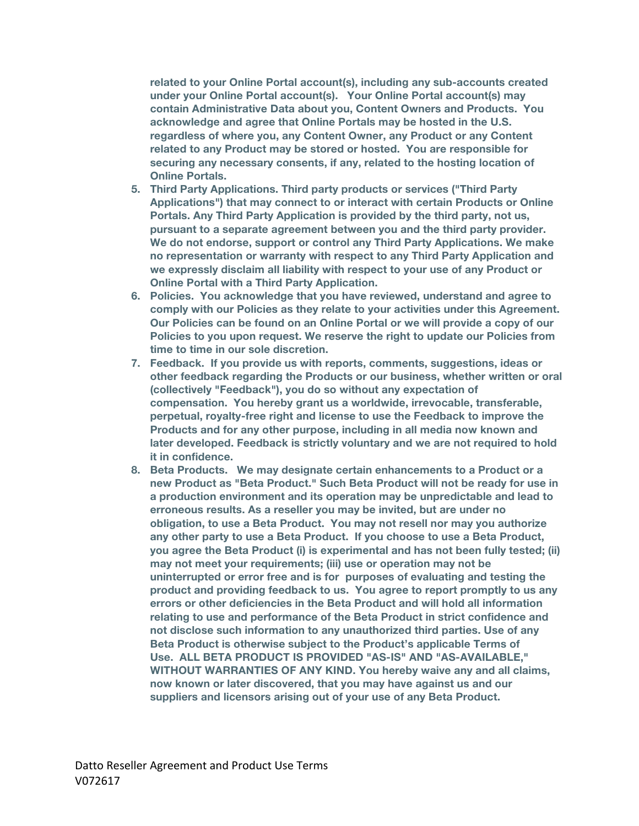**related to your Online Portal account(s), including any sub-accounts created under your Online Portal account(s). Your Online Portal account(s) may contain Administrative Data about you, Content Owners and Products. You acknowledge and agree that Online Portals may be hosted in the U.S. regardless of where you, any Content Owner, any Product or any Content related to any Product may be stored or hosted. You are responsible for securing any necessary consents, if any, related to the hosting location of Online Portals.** 

- **5. Third Party Applications. Third party products or services ("Third Party Applications") that may connect to or interact with certain Products or Online Portals. Any Third Party Application is provided by the third party, not us, pursuant to a separate agreement between you and the third party provider. We do not endorse, support or control any Third Party Applications. We make no representation or warranty with respect to any Third Party Application and we expressly disclaim all liability with respect to your use of any Product or Online Portal with a Third Party Application.**
- **6. Policies. You acknowledge that you have reviewed, understand and agree to comply with our Policies as they relate to your activities under this Agreement. Our Policies can be found on an Online Portal or we will provide a copy of our Policies to you upon request. We reserve the right to update our Policies from time to time in our sole discretion.**
- **7. Feedback. If you provide us with reports, comments, suggestions, ideas or other feedback regarding the Products or our business, whether written or oral (collectively "Feedback"), you do so without any expectation of compensation. You hereby grant us a worldwide, irrevocable, transferable, perpetual, royalty-free right and license to use the Feedback to improve the Products and for any other purpose, including in all media now known and later developed. Feedback is strictly voluntary and we are not required to hold it in confidence.**
- **8. Beta Products. We may designate certain enhancements to a Product or a new Product as "Beta Product." Such Beta Product will not be ready for use in a production environment and its operation may be unpredictable and lead to erroneous results. As a reseller you may be invited, but are under no obligation, to use a Beta Product. You may not resell nor may you authorize any other party to use a Beta Product. If you choose to use a Beta Product, you agree the Beta Product (i) is experimental and has not been fully tested; (ii) may not meet your requirements; (iii) use or operation may not be uninterrupted or error free and is for purposes of evaluating and testing the product and providing feedback to us. You agree to report promptly to us any errors or other deficiencies in the Beta Product and will hold all information relating to use and performance of the Beta Product in strict confidence and not disclose such information to any unauthorized third parties. Use of any Beta Product is otherwise subject to the Product's applicable Terms of Use. ALL BETA PRODUCT IS PROVIDED "AS-IS" AND "AS-AVAILABLE," WITHOUT WARRANTIES OF ANY KIND. You hereby waive any and all claims, now known or later discovered, that you may have against us and our suppliers and licensors arising out of your use of any Beta Product.**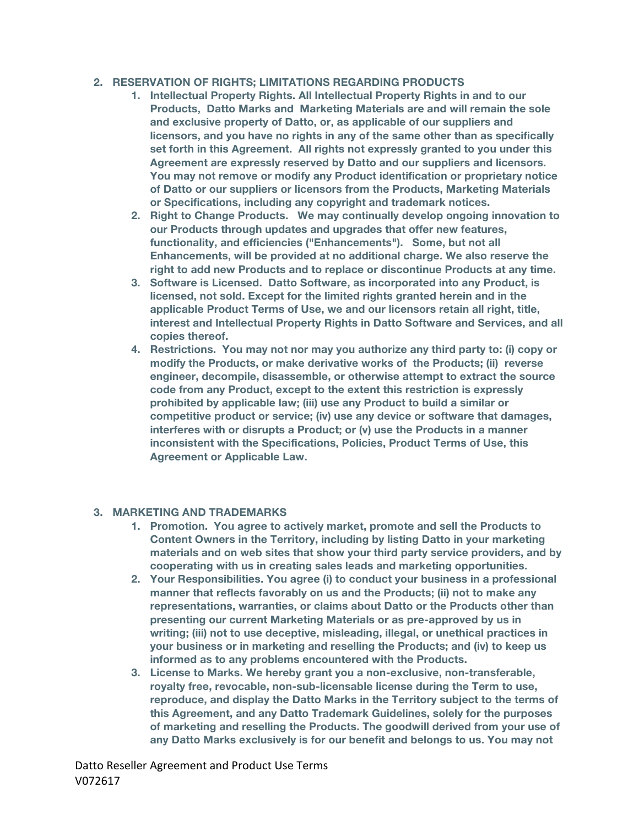### **2. RESERVATION OF RIGHTS; LIMITATIONS REGARDING PRODUCTS**

- **1. Intellectual Property Rights. All Intellectual Property Rights in and to our Products, Datto Marks and Marketing Materials are and will remain the sole and exclusive property of Datto, or, as applicable of our suppliers and licensors, and you have no rights in any of the same other than as specifically set forth in this Agreement. All rights not expressly granted to you under this Agreement are expressly reserved by Datto and our suppliers and licensors. You may not remove or modify any Product identification or proprietary notice of Datto or our suppliers or licensors from the Products, Marketing Materials or Specifications, including any copyright and trademark notices.**
- **2. Right to Change Products. We may continually develop ongoing innovation to our Products through updates and upgrades that offer new features, functionality, and efficiencies ("Enhancements"). Some, but not all Enhancements, will be provided at no additional charge. We also reserve the right to add new Products and to replace or discontinue Products at any time.**
- **3. Software is Licensed. Datto Software, as incorporated into any Product, is licensed, not sold. Except for the limited rights granted herein and in the applicable Product Terms of Use, we and our licensors retain all right, title, interest and Intellectual Property Rights in Datto Software and Services, and all copies thereof.**
- **4. Restrictions. You may not nor may you authorize any third party to: (i) copy or modify the Products, or make derivative works of the Products; (ii) reverse engineer, decompile, disassemble, or otherwise attempt to extract the source code from any Product, except to the extent this restriction is expressly prohibited by applicable law; (iii) use any Product to build a similar or competitive product or service; (iv) use any device or software that damages, interferes with or disrupts a Product; or (v) use the Products in a manner inconsistent with the Specifications, Policies, Product Terms of Use, this Agreement or Applicable Law.**

#### **3. MARKETING AND TRADEMARKS**

- **1. Promotion. You agree to actively market, promote and sell the Products to Content Owners in the Territory, including by listing Datto in your marketing materials and on web sites that show your third party service providers, and by cooperating with us in creating sales leads and marketing opportunities.**
- **2. Your Responsibilities. You agree (i) to conduct your business in a professional manner that reflects favorably on us and the Products; (ii) not to make any representations, warranties, or claims about Datto or the Products other than presenting our current Marketing Materials or as pre-approved by us in writing; (iii) not to use deceptive, misleading, illegal, or unethical practices in your business or in marketing and reselling the Products; and (iv) to keep us informed as to any problems encountered with the Products.**
- **3. License to Marks. We hereby grant you a non-exclusive, non-transferable, royalty free, revocable, non-sub-licensable license during the Term to use, reproduce, and display the Datto Marks in the Territory subject to the terms of this Agreement, and any Datto Trademark Guidelines, solely for the purposes of marketing and reselling the Products. The goodwill derived from your use of any Datto Marks exclusively is for our benefit and belongs to us. You may not**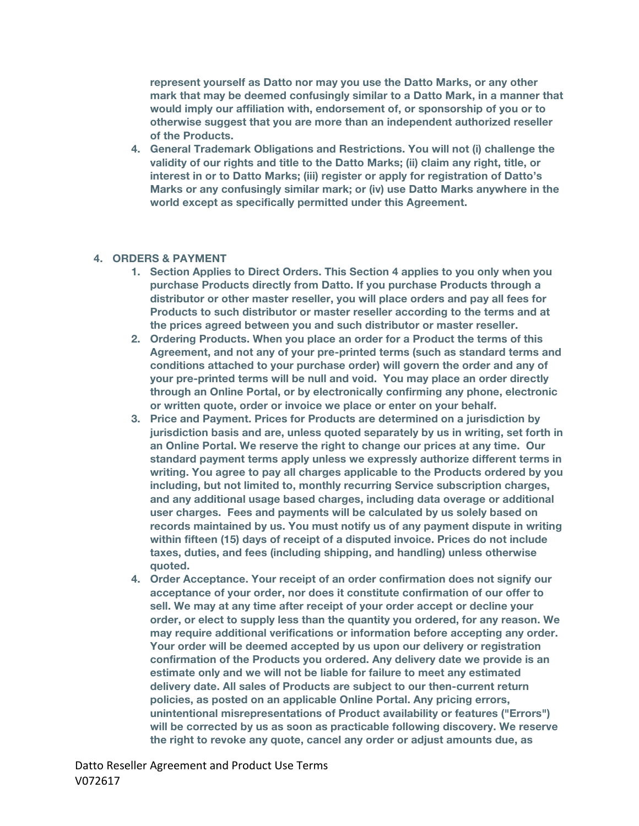**represent yourself as Datto nor may you use the Datto Marks, or any other mark that may be deemed confusingly similar to a Datto Mark, in a manner that would imply our affiliation with, endorsement of, or sponsorship of you or to otherwise suggest that you are more than an independent authorized reseller of the Products.**

**4. General Trademark Obligations and Restrictions. You will not (i) challenge the validity of our rights and title to the Datto Marks; (ii) claim any right, title, or interest in or to Datto Marks; (iii) register or apply for registration of Datto's Marks or any confusingly similar mark; or (iv) use Datto Marks anywhere in the world except as specifically permitted under this Agreement.**

#### **4. ORDERS & PAYMENT**

- **1. Section Applies to Direct Orders. This Section 4 applies to you only when you purchase Products directly from Datto. If you purchase Products through a distributor or other master reseller, you will place orders and pay all fees for Products to such distributor or master reseller according to the terms and at the prices agreed between you and such distributor or master reseller.**
- **2. Ordering Products. When you place an order for a Product the terms of this Agreement, and not any of your pre-printed terms (such as standard terms and conditions attached to your purchase order) will govern the order and any of your pre-printed terms will be null and void. You may place an order directly through an Online Portal, or by electronically confirming any phone, electronic or written quote, order or invoice we place or enter on your behalf.**
- **3. Price and Payment. Prices for Products are determined on a jurisdiction by jurisdiction basis and are, unless quoted separately by us in writing, set forth in an Online Portal. We reserve the right to change our prices at any time. Our standard payment terms apply unless we expressly authorize different terms in writing. You agree to pay all charges applicable to the Products ordered by you including, but not limited to, monthly recurring Service subscription charges, and any additional usage based charges, including data overage or additional user charges. Fees and payments will be calculated by us solely based on records maintained by us. You must notify us of any payment dispute in writing within fifteen (15) days of receipt of a disputed invoice. Prices do not include taxes, duties, and fees (including shipping, and handling) unless otherwise quoted.**
- **4. Order Acceptance. Your receipt of an order confirmation does not signify our acceptance of your order, nor does it constitute confirmation of our offer to sell. We may at any time after receipt of your order accept or decline your order, or elect to supply less than the quantity you ordered, for any reason. We may require additional verifications or information before accepting any order. Your order will be deemed accepted by us upon our delivery or registration confirmation of the Products you ordered. Any delivery date we provide is an estimate only and we will not be liable for failure to meet any estimated delivery date. All sales of Products are subject to our then-current return policies, as posted on an applicable Online Portal. Any pricing errors, unintentional misrepresentations of Product availability or features ("Errors") will be corrected by us as soon as practicable following discovery. We reserve the right to revoke any quote, cancel any order or adjust amounts due, as**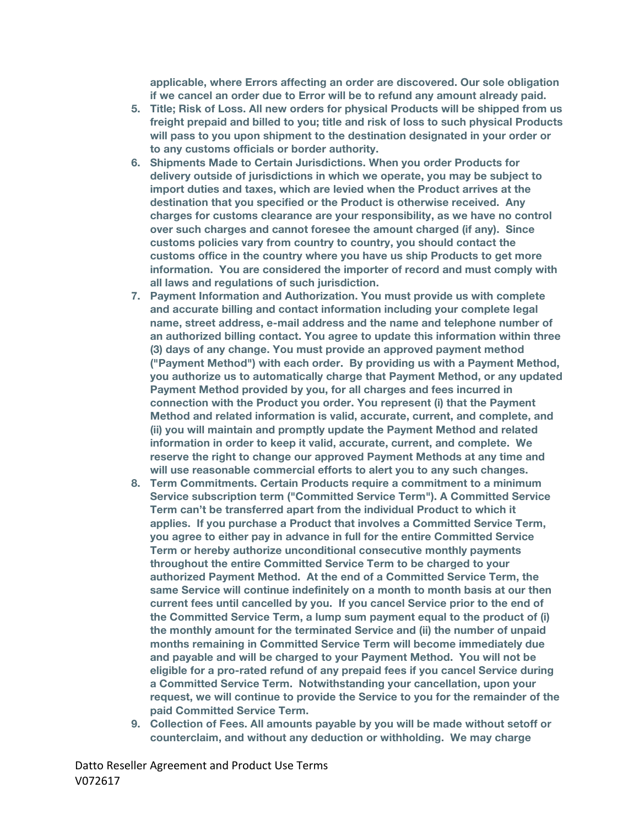**applicable, where Errors affecting an order are discovered. Our sole obligation if we cancel an order due to Error will be to refund any amount already paid.**

- **5. Title; Risk of Loss. All new orders for physical Products will be shipped from us freight prepaid and billed to you; title and risk of loss to such physical Products will pass to you upon shipment to the destination designated in your order or to any customs officials or border authority.**
- **6. Shipments Made to Certain Jurisdictions. When you order Products for delivery outside of jurisdictions in which we operate, you may be subject to import duties and taxes, which are levied when the Product arrives at the destination that you specified or the Product is otherwise received. Any charges for customs clearance are your responsibility, as we have no control over such charges and cannot foresee the amount charged (if any). Since customs policies vary from country to country, you should contact the customs office in the country where you have us ship Products to get more information. You are considered the importer of record and must comply with all laws and regulations of such jurisdiction.**
- **7. Payment Information and Authorization. You must provide us with complete and accurate billing and contact information including your complete legal name, street address, e-mail address and the name and telephone number of an authorized billing contact. You agree to update this information within three (3) days of any change. You must provide an approved payment method ("Payment Method") with each order. By providing us with a Payment Method, you authorize us to automatically charge that Payment Method, or any updated Payment Method provided by you, for all charges and fees incurred in connection with the Product you order. You represent (i) that the Payment Method and related information is valid, accurate, current, and complete, and (ii) you will maintain and promptly update the Payment Method and related information in order to keep it valid, accurate, current, and complete. We reserve the right to change our approved Payment Methods at any time and will use reasonable commercial efforts to alert you to any such changes.**
- **8. Term Commitments. Certain Products require a commitment to a minimum Service subscription term ("Committed Service Term"). A Committed Service Term can't be transferred apart from the individual Product to which it applies. If you purchase a Product that involves a Committed Service Term, you agree to either pay in advance in full for the entire Committed Service Term or hereby authorize unconditional consecutive monthly payments throughout the entire Committed Service Term to be charged to your authorized Payment Method. At the end of a Committed Service Term, the same Service will continue indefinitely on a month to month basis at our then current fees until cancelled by you. If you cancel Service prior to the end of the Committed Service Term, a lump sum payment equal to the product of (i) the monthly amount for the terminated Service and (ii) the number of unpaid months remaining in Committed Service Term will become immediately due and payable and will be charged to your Payment Method. You will not be eligible for a pro-rated refund of any prepaid fees if you cancel Service during a Committed Service Term. Notwithstanding your cancellation, upon your request, we will continue to provide the Service to you for the remainder of the paid Committed Service Term.**
- **9. Collection of Fees. All amounts payable by you will be made without setoff or counterclaim, and without any deduction or withholding. We may charge**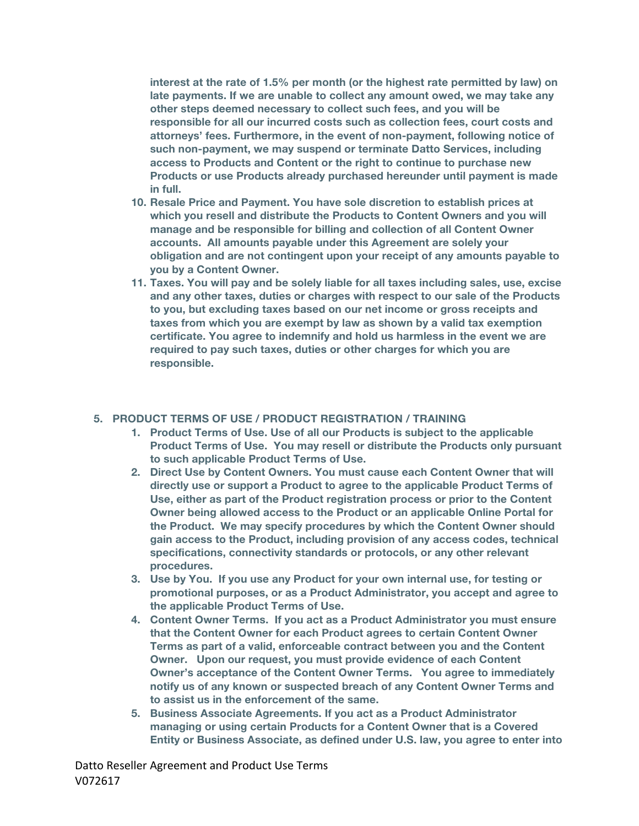**interest at the rate of 1.5% per month (or the highest rate permitted by law) on late payments. If we are unable to collect any amount owed, we may take any other steps deemed necessary to collect such fees, and you will be responsible for all our incurred costs such as collection fees, court costs and attorneys' fees. Furthermore, in the event of non-payment, following notice of such non-payment, we may suspend or terminate Datto Services, including access to Products and Content or the right to continue to purchase new Products or use Products already purchased hereunder until payment is made in full.**

- **10. Resale Price and Payment. You have sole discretion to establish prices at which you resell and distribute the Products to Content Owners and you will manage and be responsible for billing and collection of all Content Owner accounts. All amounts payable under this Agreement are solely your obligation and are not contingent upon your receipt of any amounts payable to you by a Content Owner.**
- **11. Taxes. You will pay and be solely liable for all taxes including sales, use, excise and any other taxes, duties or charges with respect to our sale of the Products to you, but excluding taxes based on our net income or gross receipts and taxes from which you are exempt by law as shown by a valid tax exemption certificate. You agree to indemnify and hold us harmless in the event we are required to pay such taxes, duties or other charges for which you are responsible.**

### **5. PRODUCT TERMS OF USE / PRODUCT REGISTRATION / TRAINING**

- **1. Product Terms of Use. Use of all our Products is subject to the applicable Product Terms of Use. You may resell or distribute the Products only pursuant to such applicable Product Terms of Use.**
- **2. Direct Use by Content Owners. You must cause each Content Owner that will directly use or support a Product to agree to the applicable Product Terms of Use, either as part of the Product registration process or prior to the Content Owner being allowed access to the Product or an applicable Online Portal for the Product. We may specify procedures by which the Content Owner should gain access to the Product, including provision of any access codes, technical specifications, connectivity standards or protocols, or any other relevant procedures.**
- **3. Use by You. If you use any Product for your own internal use, for testing or promotional purposes, or as a Product Administrator, you accept and agree to the applicable Product Terms of Use.**
- **4. Content Owner Terms. If you act as a Product Administrator you must ensure that the Content Owner for each Product agrees to certain Content Owner Terms as part of a valid, enforceable contract between you and the Content Owner. Upon our request, you must provide evidence of each Content Owner's acceptance of the Content Owner Terms. You agree to immediately notify us of any known or suspected breach of any Content Owner Terms and to assist us in the enforcement of the same.**
- **5. Business Associate Agreements. If you act as a Product Administrator managing or using certain Products for a Content Owner that is a Covered Entity or Business Associate, as defined under U.S. law, you agree to enter into**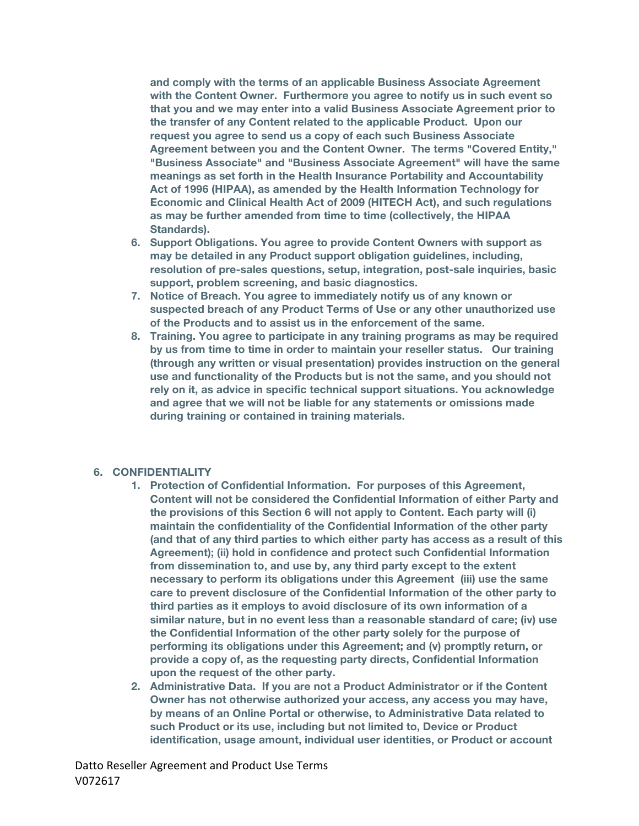**and comply with the terms of an applicable Business Associate Agreement with the Content Owner. Furthermore you agree to notify us in such event so that you and we may enter into a valid Business Associate Agreement prior to the transfer of any Content related to the applicable Product. Upon our request you agree to send us a copy of each such Business Associate Agreement between you and the Content Owner. The terms "Covered Entity," "Business Associate" and "Business Associate Agreement" will have the same meanings as set forth in the Health Insurance Portability and Accountability Act of 1996 (HIPAA), as amended by the Health Information Technology for Economic and Clinical Health Act of 2009 (HITECH Act), and such regulations as may be further amended from time to time (collectively, the HIPAA Standards).**

- **6. Support Obligations. You agree to provide Content Owners with support as may be detailed in any Product support obligation guidelines, including, resolution of pre-sales questions, setup, integration, post-sale inquiries, basic support, problem screening, and basic diagnostics.**
- **7. Notice of Breach. You agree to immediately notify us of any known or suspected breach of any Product Terms of Use or any other unauthorized use of the Products and to assist us in the enforcement of the same.**
- **8. Training. You agree to participate in any training programs as may be required by us from time to time in order to maintain your reseller status. Our training (through any written or visual presentation) provides instruction on the general use and functionality of the Products but is not the same, and you should not rely on it, as advice in specific technical support situations. You acknowledge and agree that we will not be liable for any statements or omissions made during training or contained in training materials.**

#### **6. CONFIDENTIALITY**

- **1. Protection of Confidential Information. For purposes of this Agreement, Content will not be considered the Confidential Information of either Party and the provisions of this Section 6 will not apply to Content. Each party will (i) maintain the confidentiality of the Confidential Information of the other party (and that of any third parties to which either party has access as a result of this Agreement); (ii) hold in confidence and protect such Confidential Information from dissemination to, and use by, any third party except to the extent necessary to perform its obligations under this Agreement (iii) use the same care to prevent disclosure of the Confidential Information of the other party to third parties as it employs to avoid disclosure of its own information of a similar nature, but in no event less than a reasonable standard of care; (iv) use the Confidential Information of the other party solely for the purpose of performing its obligations under this Agreement; and (v) promptly return, or provide a copy of, as the requesting party directs, Confidential Information upon the request of the other party.**
- **2. Administrative Data. If you are not a Product Administrator or if the Content Owner has not otherwise authorized your access, any access you may have, by means of an Online Portal or otherwise, to Administrative Data related to such Product or its use, including but not limited to, Device or Product identification, usage amount, individual user identities, or Product or account**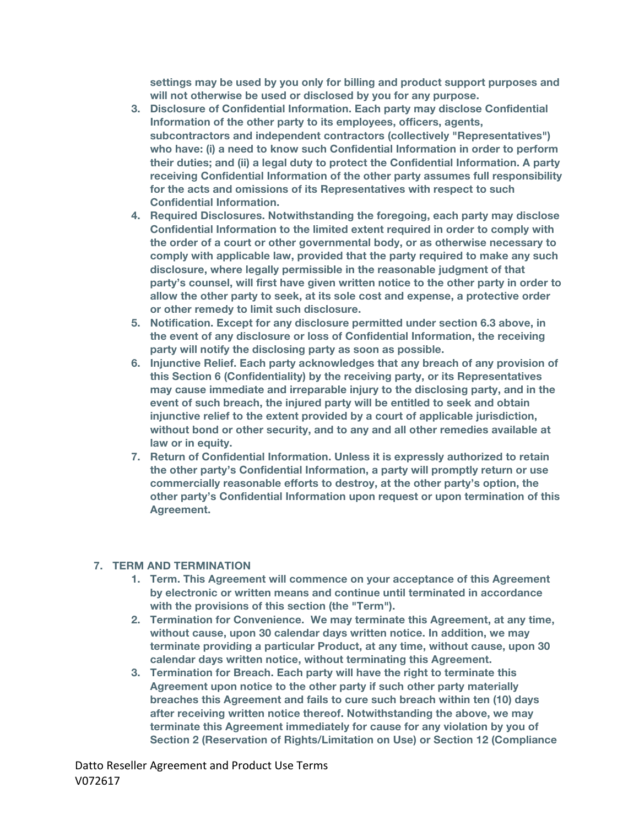**settings may be used by you only for billing and product support purposes and will not otherwise be used or disclosed by you for any purpose.**

- **3. Disclosure of Confidential Information. Each party may disclose Confidential Information of the other party to its employees, officers, agents, subcontractors and independent contractors (collectively "Representatives") who have: (i) a need to know such Confidential Information in order to perform their duties; and (ii) a legal duty to protect the Confidential Information. A party receiving Confidential Information of the other party assumes full responsibility for the acts and omissions of its Representatives with respect to such Confidential Information.**
- **4. Required Disclosures. Notwithstanding the foregoing, each party may disclose Confidential Information to the limited extent required in order to comply with the order of a court or other governmental body, or as otherwise necessary to comply with applicable law, provided that the party required to make any such disclosure, where legally permissible in the reasonable judgment of that party's counsel, will first have given written notice to the other party in order to allow the other party to seek, at its sole cost and expense, a protective order or other remedy to limit such disclosure.**
- **5. Notification. Except for any disclosure permitted under section 6.3 above, in the event of any disclosure or loss of Confidential Information, the receiving party will notify the disclosing party as soon as possible.**
- **6. Injunctive Relief. Each party acknowledges that any breach of any provision of this Section 6 (Confidentiality) by the receiving party, or its Representatives may cause immediate and irreparable injury to the disclosing party, and in the event of such breach, the injured party will be entitled to seek and obtain injunctive relief to the extent provided by a court of applicable jurisdiction, without bond or other security, and to any and all other remedies available at law or in equity.**
- **7. Return of Confidential Information. Unless it is expressly authorized to retain the other party's Confidential Information, a party will promptly return or use commercially reasonable efforts to destroy, at the other party's option, the other party's Confidential Information upon request or upon termination of this Agreement.**

#### **7. TERM AND TERMINATION**

- **1. Term. This Agreement will commence on your acceptance of this Agreement by electronic or written means and continue until terminated in accordance with the provisions of this section (the "Term").**
- **2. Termination for Convenience. We may terminate this Agreement, at any time, without cause, upon 30 calendar days written notice. In addition, we may terminate providing a particular Product, at any time, without cause, upon 30 calendar days written notice, without terminating this Agreement.**
- **3. Termination for Breach. Each party will have the right to terminate this Agreement upon notice to the other party if such other party materially breaches this Agreement and fails to cure such breach within ten (10) days after receiving written notice thereof. Notwithstanding the above, we may terminate this Agreement immediately for cause for any violation by you of Section 2 (Reservation of Rights/Limitation on Use) or Section 12 (Compliance**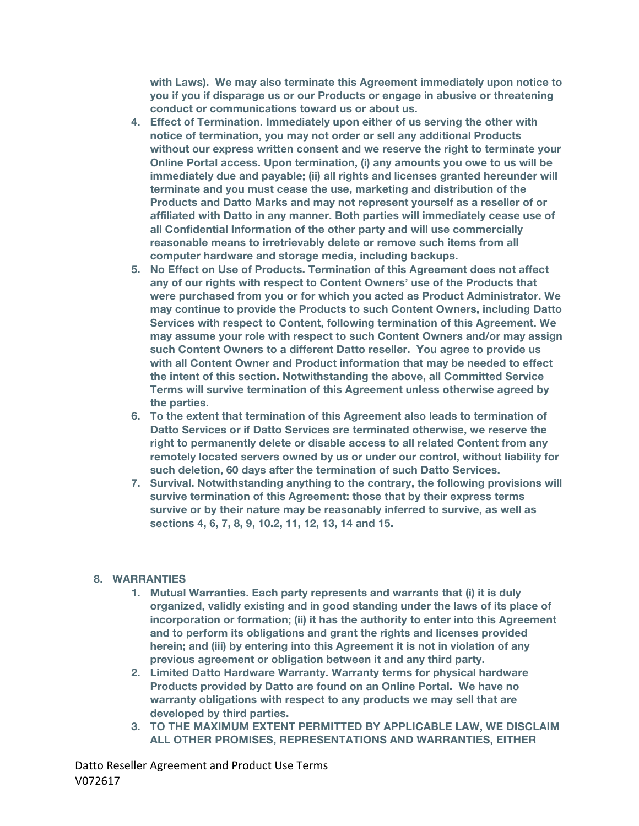**with Laws). We may also terminate this Agreement immediately upon notice to you if you if disparage us or our Products or engage in abusive or threatening conduct or communications toward us or about us.**

- **4. Effect of Termination. Immediately upon either of us serving the other with notice of termination, you may not order or sell any additional Products without our express written consent and we reserve the right to terminate your Online Portal access. Upon termination, (i) any amounts you owe to us will be immediately due and payable; (ii) all rights and licenses granted hereunder will terminate and you must cease the use, marketing and distribution of the Products and Datto Marks and may not represent yourself as a reseller of or affiliated with Datto in any manner. Both parties will immediately cease use of all Confidential Information of the other party and will use commercially reasonable means to irretrievably delete or remove such items from all computer hardware and storage media, including backups.**
- **5. No Effect on Use of Products. Termination of this Agreement does not affect any of our rights with respect to Content Owners' use of the Products that were purchased from you or for which you acted as Product Administrator. We may continue to provide the Products to such Content Owners, including Datto Services with respect to Content, following termination of this Agreement. We may assume your role with respect to such Content Owners and/or may assign such Content Owners to a different Datto reseller. You agree to provide us with all Content Owner and Product information that may be needed to effect the intent of this section. Notwithstanding the above, all Committed Service Terms will survive termination of this Agreement unless otherwise agreed by the parties.**
- **6. To the extent that termination of this Agreement also leads to termination of Datto Services or if Datto Services are terminated otherwise, we reserve the right to permanently delete or disable access to all related Content from any remotely located servers owned by us or under our control, without liability for such deletion, 60 days after the termination of such Datto Services.**
- **7. Survival. Notwithstanding anything to the contrary, the following provisions will survive termination of this Agreement: those that by their express terms survive or by their nature may be reasonably inferred to survive, as well as sections 4, 6, 7, 8, 9, 10.2, 11, 12, 13, 14 and 15.**

### **8. WARRANTIES**

- **1. Mutual Warranties. Each party represents and warrants that (i) it is duly organized, validly existing and in good standing under the laws of its place of incorporation or formation; (ii) it has the authority to enter into this Agreement and to perform its obligations and grant the rights and licenses provided herein; and (iii) by entering into this Agreement it is not in violation of any previous agreement or obligation between it and any third party.**
- **2. Limited Datto Hardware Warranty. Warranty terms for physical hardware Products provided by Datto are found on an Online Portal. We have no warranty obligations with respect to any products we may sell that are developed by third parties.**
- **3. TO THE MAXIMUM EXTENT PERMITTED BY APPLICABLE LAW, WE DISCLAIM ALL OTHER PROMISES, REPRESENTATIONS AND WARRANTIES, EITHER**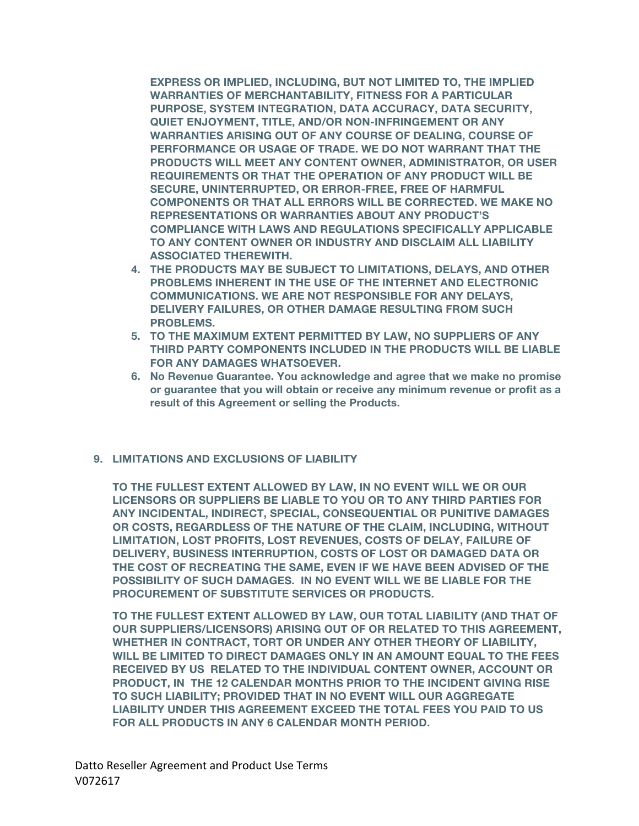**EXPRESS OR IMPLIED, INCLUDING, BUT NOT LIMITED TO, THE IMPLIED WARRANTIES OF MERCHANTABILITY, FITNESS FOR A PARTICULAR PURPOSE, SYSTEM INTEGRATION, DATA ACCURACY, DATA SECURITY, QUIET ENJOYMENT, TITLE, AND/OR NON-INFRINGEMENT OR ANY WARRANTIES ARISING OUT OF ANY COURSE OF DEALING, COURSE OF PERFORMANCE OR USAGE OF TRADE. WE DO NOT WARRANT THAT THE PRODUCTS WILL MEET ANY CONTENT OWNER, ADMINISTRATOR, OR USER REQUIREMENTS OR THAT THE OPERATION OF ANY PRODUCT WILL BE SECURE, UNINTERRUPTED, OR ERROR-FREE, FREE OF HARMFUL COMPONENTS OR THAT ALL ERRORS WILL BE CORRECTED. WE MAKE NO REPRESENTATIONS OR WARRANTIES ABOUT ANY PRODUCT'S COMPLIANCE WITH LAWS AND REGULATIONS SPECIFICALLY APPLICABLE TO ANY CONTENT OWNER OR INDUSTRY AND DISCLAIM ALL LIABILITY ASSOCIATED THEREWITH.**

- **4. THE PRODUCTS MAY BE SUBJECT TO LIMITATIONS, DELAYS, AND OTHER PROBLEMS INHERENT IN THE USE OF THE INTERNET AND ELECTRONIC COMMUNICATIONS. WE ARE NOT RESPONSIBLE FOR ANY DELAYS, DELIVERY FAILURES, OR OTHER DAMAGE RESULTING FROM SUCH PROBLEMS.**
- **5. TO THE MAXIMUM EXTENT PERMITTED BY LAW, NO SUPPLIERS OF ANY THIRD PARTY COMPONENTS INCLUDED IN THE PRODUCTS WILL BE LIABLE FOR ANY DAMAGES WHATSOEVER.**
- **6. No Revenue Guarantee. You acknowledge and agree that we make no promise or guarantee that you will obtain or receive any minimum revenue or profit as a result of this Agreement or selling the Products.**

#### **9. LIMITATIONS AND EXCLUSIONS OF LIABILITY**

**TO THE FULLEST EXTENT ALLOWED BY LAW, IN NO EVENT WILL WE OR OUR LICENSORS OR SUPPLIERS BE LIABLE TO YOU OR TO ANY THIRD PARTIES FOR ANY INCIDENTAL, INDIRECT, SPECIAL, CONSEQUENTIAL OR PUNITIVE DAMAGES OR COSTS, REGARDLESS OF THE NATURE OF THE CLAIM, INCLUDING, WITHOUT LIMITATION, LOST PROFITS, LOST REVENUES, COSTS OF DELAY, FAILURE OF DELIVERY, BUSINESS INTERRUPTION, COSTS OF LOST OR DAMAGED DATA OR THE COST OF RECREATING THE SAME, EVEN IF WE HAVE BEEN ADVISED OF THE POSSIBILITY OF SUCH DAMAGES. IN NO EVENT WILL WE BE LIABLE FOR THE PROCUREMENT OF SUBSTITUTE SERVICES OR PRODUCTS.**

**TO THE FULLEST EXTENT ALLOWED BY LAW, OUR TOTAL LIABILITY (AND THAT OF OUR SUPPLIERS/LICENSORS) ARISING OUT OF OR RELATED TO THIS AGREEMENT, WHETHER IN CONTRACT, TORT OR UNDER ANY OTHER THEORY OF LIABILITY, WILL BE LIMITED TO DIRECT DAMAGES ONLY IN AN AMOUNT EQUAL TO THE FEES RECEIVED BY US RELATED TO THE INDIVIDUAL CONTENT OWNER, ACCOUNT OR PRODUCT, IN THE 12 CALENDAR MONTHS PRIOR TO THE INCIDENT GIVING RISE TO SUCH LIABILITY; PROVIDED THAT IN NO EVENT WILL OUR AGGREGATE LIABILITY UNDER THIS AGREEMENT EXCEED THE TOTAL FEES YOU PAID TO US FOR ALL PRODUCTS IN ANY 6 CALENDAR MONTH PERIOD.**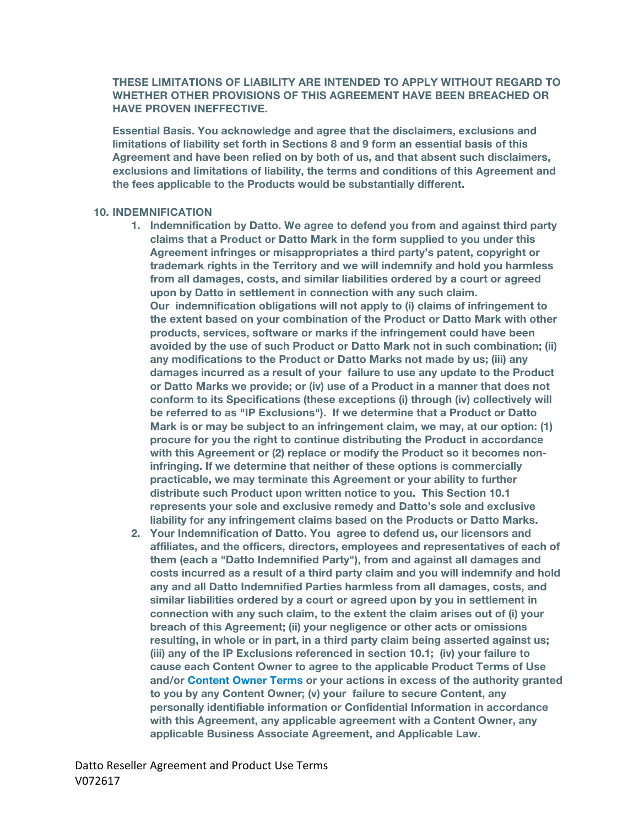#### **THESE LIMITATIONS OF LIABILITY ARE INTENDED TO APPLY WITHOUT REGARD TO WHETHER OTHER PROVISIONS OF THIS AGREEMENT HAVE BEEN BREACHED OR HAVE PROVEN INEFFECTIVE.**

**Essential Basis. You acknowledge and agree that the disclaimers, exclusions and limitations of liability set forth in Sections 8 and 9 form an essential basis of this Agreement and have been relied on by both of us, and that absent such disclaimers, exclusions and limitations of liability, the terms and conditions of this Agreement and the fees applicable to the Products would be substantially different.**

#### **10. INDEMNIFICATION**

- **1. Indemnification by Datto. We agree to defend you from and against third party claims that a Product or Datto Mark in the form supplied to you under this Agreement infringes or misappropriates a third party's patent, copyright or trademark rights in the Territory and we will indemnify and hold you harmless from all damages, costs, and similar liabilities ordered by a court or agreed upon by Datto in settlement in connection with any such claim. Our indemnification obligations will not apply to (i) claims of infringement to the extent based on your combination of the Product or Datto Mark with other products, services, software or marks if the infringement could have been avoided by the use of such Product or Datto Mark not in such combination; (ii) any modifications to the Product or Datto Marks not made by us; (iii) any damages incurred as a result of your failure to use any update to the Product or Datto Marks we provide; or (iv) use of a Product in a manner that does not conform to its Specifications (these exceptions (i) through (iv) collectively will be referred to as "IP Exclusions"). If we determine that a Product or Datto Mark is or may be subject to an infringement claim, we may, at our option: (1) procure for you the right to continue distributing the Product in accordance with this Agreement or (2) replace or modify the Product so it becomes noninfringing. If we determine that neither of these options is commercially practicable, we may terminate this Agreement or your ability to further distribute such Product upon written notice to you. This Section 10.1 represents your sole and exclusive remedy and Datto's sole and exclusive liability for any infringement claims based on the Products or Datto Marks.**
- **2. Your Indemnification of Datto. You agree to defend us, our licensors and affiliates, and the officers, directors, employees and representatives of each of them (each a "Datto Indemnified Party"), from and against all damages and costs incurred as a result of a third party claim and you will indemnify and hold any and all Datto Indemnified Parties harmless from all damages, costs, and similar liabilities ordered by a court or agreed upon by you in settlement in connection with any such claim, to the extent the claim arises out of (i) your breach of this Agreement; (ii) your negligence or other acts or omissions resulting, in whole or in part, in a third party claim being asserted against us; (iii) any of the IP Exclusions referenced in section 10.1; (iv) your failure to cause each Content Owner to agree to the applicable Product Terms of Use and/or Content Owner Terms or your actions in excess of the authority granted to you by any Content Owner; (v) your failure to secure Content, any personally identifiable information or Confidential Information in accordance with this Agreement, any applicable agreement with a Content Owner, any applicable Business Associate Agreement, and Applicable Law.**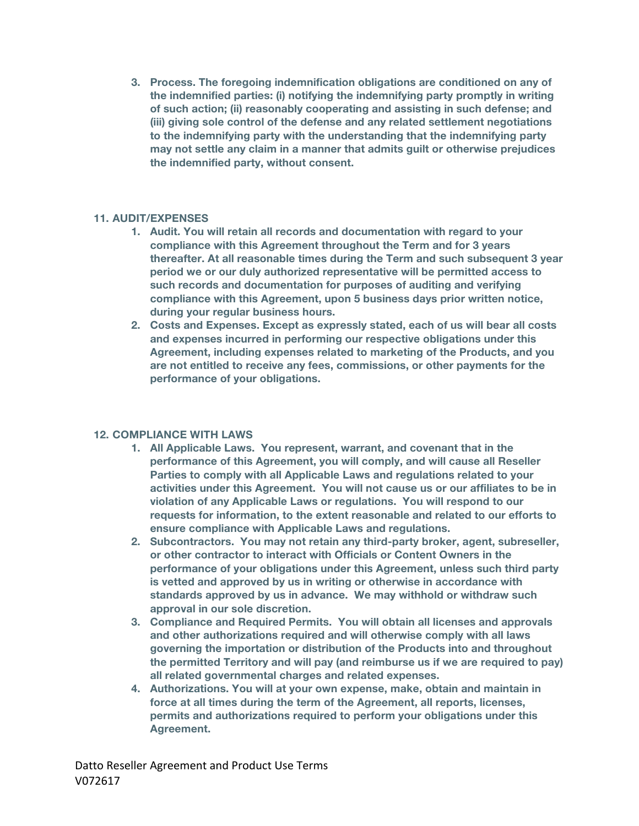**3. Process. The foregoing indemnification obligations are conditioned on any of the indemnified parties: (i) notifying the indemnifying party promptly in writing of such action; (ii) reasonably cooperating and assisting in such defense; and (iii) giving sole control of the defense and any related settlement negotiations to the indemnifying party with the understanding that the indemnifying party may not settle any claim in a manner that admits guilt or otherwise prejudices the indemnified party, without consent.**

#### **11. AUDIT/EXPENSES**

- **1. Audit. You will retain all records and documentation with regard to your compliance with this Agreement throughout the Term and for 3 years thereafter. At all reasonable times during the Term and such subsequent 3 year period we or our duly authorized representative will be permitted access to such records and documentation for purposes of auditing and verifying compliance with this Agreement, upon 5 business days prior written notice, during your regular business hours.**
- **2. Costs and Expenses. Except as expressly stated, each of us will bear all costs and expenses incurred in performing our respective obligations under this Agreement, including expenses related to marketing of the Products, and you are not entitled to receive any fees, commissions, or other payments for the performance of your obligations.**

#### **12. COMPLIANCE WITH LAWS**

- **1. All Applicable Laws. You represent, warrant, and covenant that in the performance of this Agreement, you will comply, and will cause all Reseller Parties to comply with all Applicable Laws and regulations related to your activities under this Agreement. You will not cause us or our affiliates to be in violation of any Applicable Laws or regulations. You will respond to our requests for information, to the extent reasonable and related to our efforts to ensure compliance with Applicable Laws and regulations.**
- **2. Subcontractors. You may not retain any third-party broker, agent, subreseller, or other contractor to interact with Officials or Content Owners in the performance of your obligations under this Agreement, unless such third party is vetted and approved by us in writing or otherwise in accordance with standards approved by us in advance. We may withhold or withdraw such approval in our sole discretion.**
- **3. Compliance and Required Permits. You will obtain all licenses and approvals and other authorizations required and will otherwise comply with all laws governing the importation or distribution of the Products into and throughout the permitted Territory and will pay (and reimburse us if we are required to pay) all related governmental charges and related expenses.**
- **4. Authorizations. You will at your own expense, make, obtain and maintain in force at all times during the term of the Agreement, all reports, licenses, permits and authorizations required to perform your obligations under this Agreement.**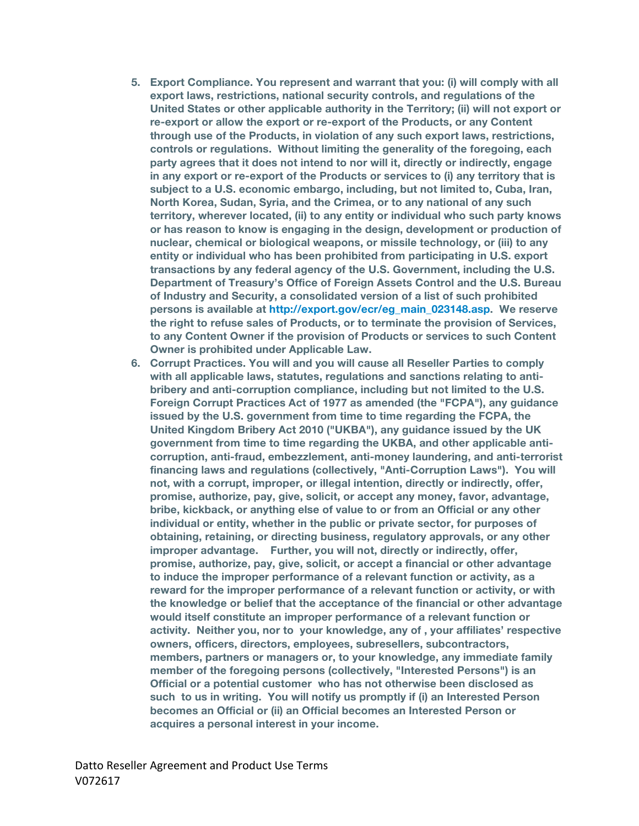- **5. Export Compliance. You represent and warrant that you: (i) will comply with all export laws, restrictions, national security controls, and regulations of the United States or other applicable authority in the Territory; (ii) will not export or re-export or allow the export or re-export of the Products, or any Content through use of the Products, in violation of any such export laws, restrictions, controls or regulations. Without limiting the generality of the foregoing, each party agrees that it does not intend to nor will it, directly or indirectly, engage in any export or re-export of the Products or services to (i) any territory that is subject to a U.S. economic embargo, including, but not limited to, Cuba, Iran, North Korea, Sudan, Syria, and the Crimea, or to any national of any such territory, wherever located, (ii) to any entity or individual who such party knows or has reason to know is engaging in the design, development or production of nuclear, chemical or biological weapons, or missile technology, or (iii) to any entity or individual who has been prohibited from participating in U.S. export transactions by any federal agency of the U.S. Government, including the U.S. Department of Treasury's Office of Foreign Assets Control and the U.S. Bureau of Industry and Security, a consolidated version of a list of such prohibited persons is available at http://export.gov/ecr/eg\_main\_023148.asp. We reserve the right to refuse sales of Products, or to terminate the provision of Services, to any Content Owner if the provision of Products or services to such Content Owner is prohibited under Applicable Law.**
- **6. Corrupt Practices. You will and you will cause all Reseller Parties to comply with all applicable laws, statutes, regulations and sanctions relating to antibribery and anti-corruption compliance, including but not limited to the U.S. Foreign Corrupt Practices Act of 1977 as amended (the "FCPA"), any guidance issued by the U.S. government from time to time regarding the FCPA, the United Kingdom Bribery Act 2010 ("UKBA"), any guidance issued by the UK government from time to time regarding the UKBA, and other applicable anticorruption, anti-fraud, embezzlement, anti-money laundering, and anti-terrorist financing laws and regulations (collectively, "Anti-Corruption Laws"). You will not, with a corrupt, improper, or illegal intention, directly or indirectly, offer, promise, authorize, pay, give, solicit, or accept any money, favor, advantage, bribe, kickback, or anything else of value to or from an Official or any other individual or entity, whether in the public or private sector, for purposes of obtaining, retaining, or directing business, regulatory approvals, or any other improper advantage. Further, you will not, directly or indirectly, offer, promise, authorize, pay, give, solicit, or accept a financial or other advantage to induce the improper performance of a relevant function or activity, as a reward for the improper performance of a relevant function or activity, or with the knowledge or belief that the acceptance of the financial or other advantage would itself constitute an improper performance of a relevant function or activity. Neither you, nor to your knowledge, any of , your affiliates' respective owners, officers, directors, employees, subresellers, subcontractors, members, partners or managers or, to your knowledge, any immediate family member of the foregoing persons (collectively, "Interested Persons") is an Official or a potential customer who has not otherwise been disclosed as such to us in writing. You will notify us promptly if (i) an Interested Person becomes an Official or (ii) an Official becomes an Interested Person or acquires a personal interest in your income.**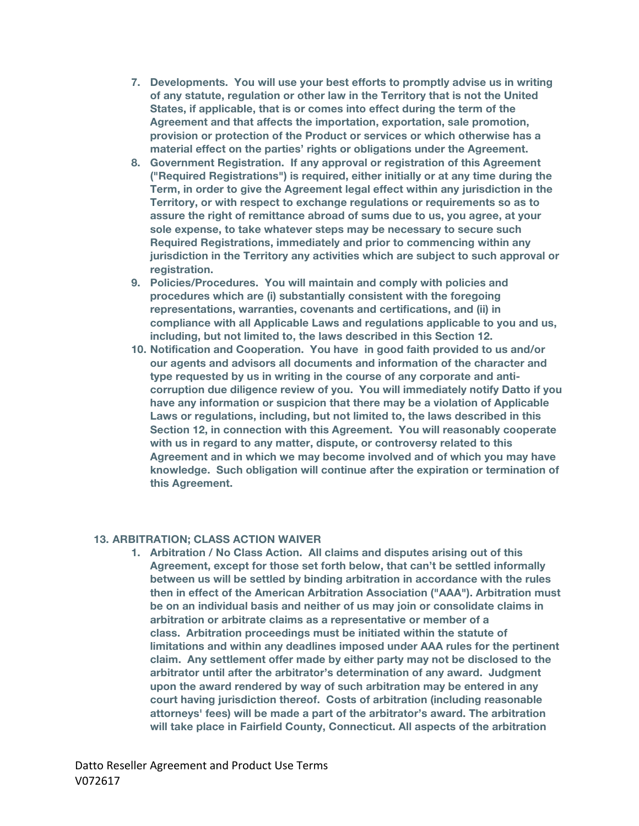- **7. Developments. You will use your best efforts to promptly advise us in writing of any statute, regulation or other law in the Territory that is not the United States, if applicable, that is or comes into effect during the term of the Agreement and that affects the importation, exportation, sale promotion, provision or protection of the Product or services or which otherwise has a material effect on the parties' rights or obligations under the Agreement.**
- **8. Government Registration. If any approval or registration of this Agreement ("Required Registrations") is required, either initially or at any time during the Term, in order to give the Agreement legal effect within any jurisdiction in the Territory, or with respect to exchange regulations or requirements so as to assure the right of remittance abroad of sums due to us, you agree, at your sole expense, to take whatever steps may be necessary to secure such Required Registrations, immediately and prior to commencing within any jurisdiction in the Territory any activities which are subject to such approval or registration.**
- **9. Policies/Procedures. You will maintain and comply with policies and procedures which are (i) substantially consistent with the foregoing representations, warranties, covenants and certifications, and (ii) in compliance with all Applicable Laws and regulations applicable to you and us, including, but not limited to, the laws described in this Section 12.**
- **10. Notification and Cooperation. You have in good faith provided to us and/or our agents and advisors all documents and information of the character and type requested by us in writing in the course of any corporate and anticorruption due diligence review of you. You will immediately notify Datto if you have any information or suspicion that there may be a violation of Applicable Laws or regulations, including, but not limited to, the laws described in this Section 12, in connection with this Agreement. You will reasonably cooperate with us in regard to any matter, dispute, or controversy related to this Agreement and in which we may become involved and of which you may have knowledge. Such obligation will continue after the expiration or termination of this Agreement.**

### **13. ARBITRATION; CLASS ACTION WAIVER**

**1. Arbitration / No Class Action. All claims and disputes arising out of this Agreement, except for those set forth below, that can't be settled informally between us will be settled by binding arbitration in accordance with the rules then in effect of the American Arbitration Association ("AAA"). Arbitration must be on an individual basis and neither of us may join or consolidate claims in arbitration or arbitrate claims as a representative or member of a class. Arbitration proceedings must be initiated within the statute of limitations and within any deadlines imposed under AAA rules for the pertinent claim. Any settlement offer made by either party may not be disclosed to the arbitrator until after the arbitrator's determination of any award. Judgment upon the award rendered by way of such arbitration may be entered in any court having jurisdiction thereof. Costs of arbitration (including reasonable attorneys' fees) will be made a part of the arbitrator's award. The arbitration will take place in Fairfield County, Connecticut. All aspects of the arbitration**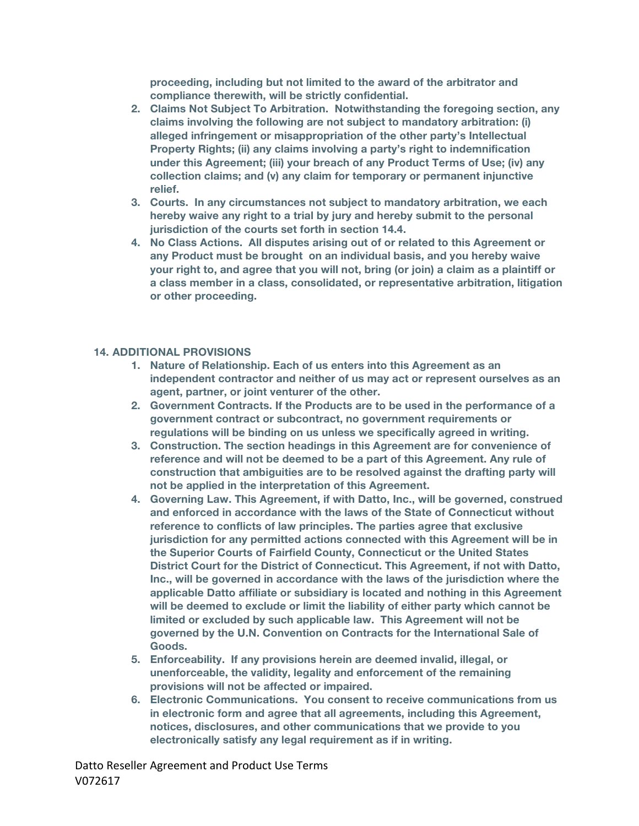**proceeding, including but not limited to the award of the arbitrator and compliance therewith, will be strictly confidential.**

- **2. Claims Not Subject To Arbitration. Notwithstanding the foregoing section, any claims involving the following are not subject to mandatory arbitration: (i) alleged infringement or misappropriation of the other party's Intellectual Property Rights; (ii) any claims involving a party's right to indemnification under this Agreement; (iii) your breach of any Product Terms of Use; (iv) any collection claims; and (v) any claim for temporary or permanent injunctive relief.**
- **3. Courts. In any circumstances not subject to mandatory arbitration, we each hereby waive any right to a trial by jury and hereby submit to the personal jurisdiction of the courts set forth in section 14.4.**
- **4. No Class Actions. All disputes arising out of or related to this Agreement or any Product must be brought****on an individual basis, and you hereby waive your right to, and agree that you will not, bring (or join) a claim as a plaintiff or a class member in a class, consolidated, or representative arbitration, litigation or other proceeding.**

#### **14. ADDITIONAL PROVISIONS**

- **1. Nature of Relationship. Each of us enters into this Agreement as an independent contractor and neither of us may act or represent ourselves as an agent, partner, or joint venturer of the other.**
- **2. Government Contracts. If the Products are to be used in the performance of a government contract or subcontract, no government requirements or regulations will be binding on us unless we specifically agreed in writing.**
- **3. Construction. The section headings in this Agreement are for convenience of reference and will not be deemed to be a part of this Agreement. Any rule of construction that ambiguities are to be resolved against the drafting party will not be applied in the interpretation of this Agreement.**
- **4. Governing Law. This Agreement, if with Datto, Inc., will be governed, construed and enforced in accordance with the laws of the State of Connecticut without reference to conflicts of law principles. The parties agree that exclusive jurisdiction for any permitted actions connected with this Agreement will be in the Superior Courts of Fairfield County, Connecticut or the United States District Court for the District of Connecticut. This Agreement, if not with Datto, Inc., will be governed in accordance with the laws of the jurisdiction where the applicable Datto affiliate or subsidiary is located and nothing in this Agreement will be deemed to exclude or limit the liability of either party which cannot be limited or excluded by such applicable law. This Agreement will not be governed by the U.N. Convention on Contracts for the International Sale of Goods.**
- **5. Enforceability. If any provisions herein are deemed invalid, illegal, or unenforceable, the validity, legality and enforcement of the remaining provisions will not be affected or impaired.**
- **6. Electronic Communications. You consent to receive communications from us in electronic form and agree that all agreements, including this Agreement, notices, disclosures, and other communications that we provide to you electronically satisfy any legal requirement as if in writing.**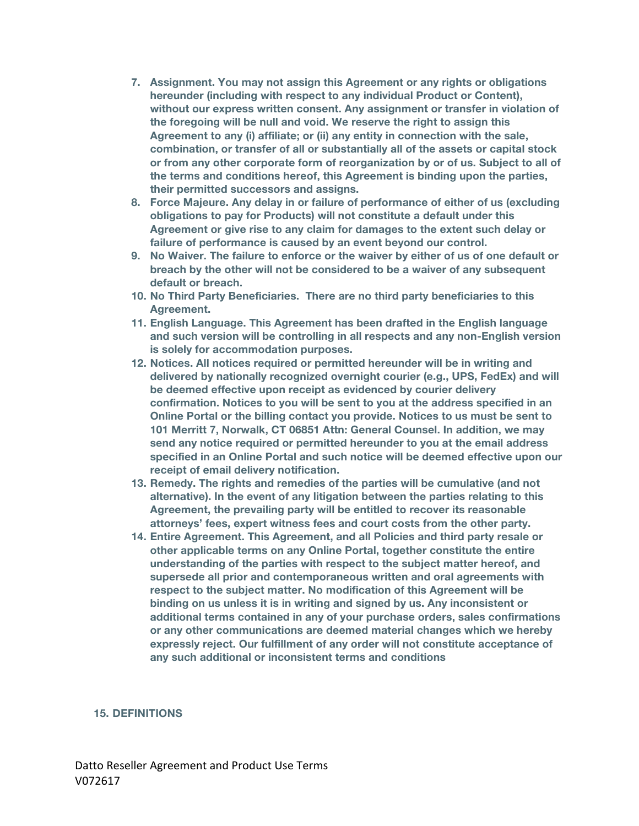- **7. Assignment. You may not assign this Agreement or any rights or obligations hereunder (including with respect to any individual Product or Content), without our express written consent. Any assignment or transfer in violation of the foregoing will be null and void. We reserve the right to assign this Agreement to any (i) affiliate; or (ii) any entity in connection with the sale, combination, or transfer of all or substantially all of the assets or capital stock or from any other corporate form of reorganization by or of us. Subject to all of the terms and conditions hereof, this Agreement is binding upon the parties, their permitted successors and assigns.**
- **8. Force Majeure. Any delay in or failure of performance of either of us (excluding obligations to pay for Products) will not constitute a default under this Agreement or give rise to any claim for damages to the extent such delay or failure of performance is caused by an event beyond our control.**
- **9. No Waiver. The failure to enforce or the waiver by either of us of one default or breach by the other will not be considered to be a waiver of any subsequent default or breach.**
- **10. No Third Party Beneficiaries. There are no third party beneficiaries to this Agreement.**
- **11. English Language. This Agreement has been drafted in the English language and such version will be controlling in all respects and any non-English version is solely for accommodation purposes.**
- **12. Notices. All notices required or permitted hereunder will be in writing and delivered by nationally recognized overnight courier (e.g., UPS, FedEx) and will be deemed effective upon receipt as evidenced by courier delivery confirmation. Notices to you will be sent to you at the address specified in an Online Portal or the billing contact you provide. Notices to us must be sent to 101 Merritt 7, Norwalk, CT 06851 Attn: General Counsel. In addition, we may send any notice required or permitted hereunder to you at the email address specified in an Online Portal and such notice will be deemed effective upon our receipt of email delivery notification.**
- **13. Remedy. The rights and remedies of the parties will be cumulative (and not alternative). In the event of any litigation between the parties relating to this Agreement, the prevailing party will be entitled to recover its reasonable attorneys' fees, expert witness fees and court costs from the other party.**
- **14. Entire Agreement. This Agreement, and all Policies and third party resale or other applicable terms on any Online Portal, together constitute the entire understanding of the parties with respect to the subject matter hereof, and supersede all prior and contemporaneous written and oral agreements with respect to the subject matter. No modification of this Agreement will be binding on us unless it is in writing and signed by us. Any inconsistent or additional terms contained in any of your purchase orders, sales confirmations or any other communications are deemed material changes which we hereby expressly reject. Our fulfillment of any order will not constitute acceptance of any such additional or inconsistent terms and conditions**

#### **15. DEFINITIONS**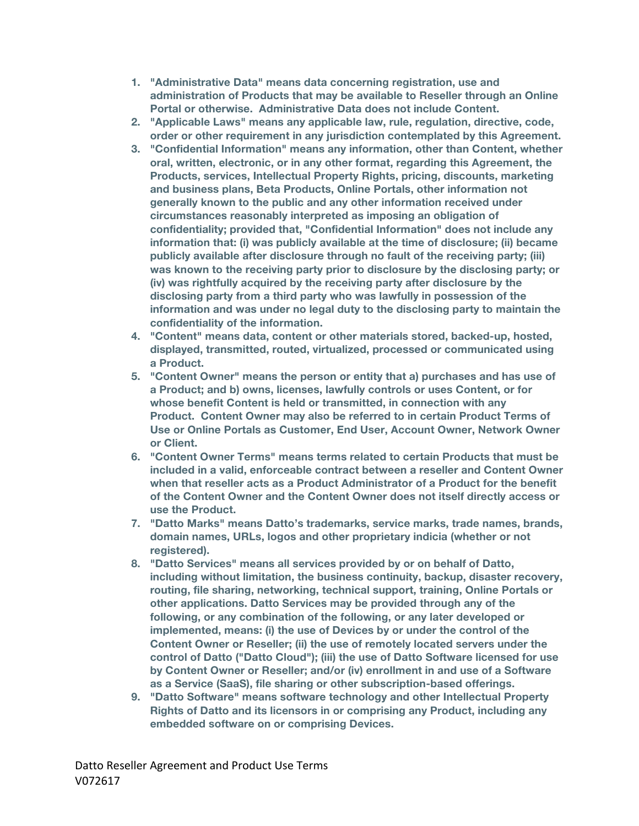- **1. "Administrative Data" means data concerning registration, use and administration of Products that may be available to Reseller through an Online Portal or otherwise. Administrative Data does not include Content.**
- **2. "Applicable Laws" means any applicable law, rule, regulation, directive, code, order or other requirement in any jurisdiction contemplated by this Agreement.**
- **3. "Confidential Information" means any information, other than Content, whether oral, written, electronic, or in any other format, regarding this Agreement, the Products, services, Intellectual Property Rights, pricing, discounts, marketing and business plans, Beta Products, Online Portals, other information not generally known to the public and any other information received under circumstances reasonably interpreted as imposing an obligation of confidentiality; provided that, "Confidential Information" does not include any information that: (i) was publicly available at the time of disclosure; (ii) became publicly available after disclosure through no fault of the receiving party; (iii) was known to the receiving party prior to disclosure by the disclosing party; or (iv) was rightfully acquired by the receiving party after disclosure by the disclosing party from a third party who was lawfully in possession of the information and was under no legal duty to the disclosing party to maintain the confidentiality of the information.**
- **4. "Content" means data, content or other materials stored, backed-up, hosted, displayed, transmitted, routed, virtualized, processed or communicated using a Product.**
- **5. "Content Owner" means the person or entity that a) purchases and has use of a Product; and b) owns, licenses, lawfully controls or uses Content, or for whose benefit Content is held or transmitted, in connection with any Product. Content Owner may also be referred to in certain Product Terms of Use or Online Portals as Customer, End User, Account Owner, Network Owner or Client.**
- **6. "Content Owner Terms" means terms related to certain Products that must be included in a valid, enforceable contract between a reseller and Content Owner when that reseller acts as a Product Administrator of a Product for the benefit of the Content Owner and the Content Owner does not itself directly access or use the Product.**
- **7. "Datto Marks" means Datto's trademarks, service marks, trade names, brands, domain names, URLs, logos and other proprietary indicia (whether or not registered).**
- **8. "Datto Services" means all services provided by or on behalf of Datto, including without limitation, the business continuity, backup, disaster recovery, routing, file sharing, networking, technical support, training, Online Portals or other applications. Datto Services may be provided through any of the following, or any combination of the following, or any later developed or implemented, means: (i) the use of Devices by or under the control of the Content Owner or Reseller; (ii) the use of remotely located servers under the control of Datto ("Datto Cloud"); (iii) the use of Datto Software licensed for use by Content Owner or Reseller; and/or (iv) enrollment in and use of a Software as a Service (SaaS), file sharing or other subscription-based offerings.**
- **9. "Datto Software" means software technology and other Intellectual Property Rights of Datto and its licensors in or comprising any Product, including any embedded software on or comprising Devices.**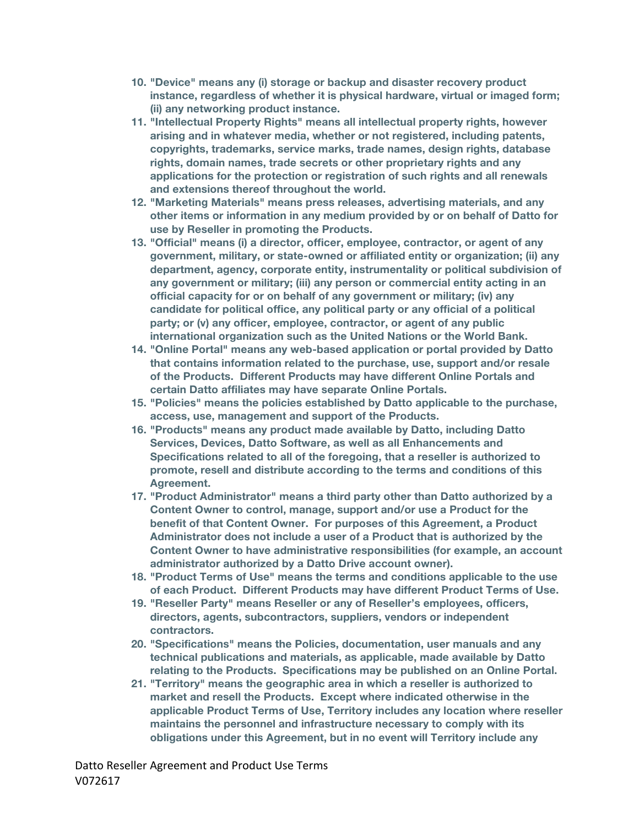- **10. "Device" means any (i) storage or backup and disaster recovery product instance, regardless of whether it is physical hardware, virtual or imaged form; (ii) any networking product instance.**
- **11. "Intellectual Property Rights" means all intellectual property rights, however arising and in whatever media, whether or not registered, including patents, copyrights, trademarks, service marks, trade names, design rights, database rights, domain names, trade secrets or other proprietary rights and any applications for the protection or registration of such rights and all renewals and extensions thereof throughout the world.**
- **12. "Marketing Materials" means press releases, advertising materials, and any other items or information in any medium provided by or on behalf of Datto for use by Reseller in promoting the Products.**
- **13. "Official" means (i) a director, officer, employee, contractor, or agent of any government, military, or state-owned or affiliated entity or organization; (ii) any department, agency, corporate entity, instrumentality or political subdivision of any government or military; (iii) any person or commercial entity acting in an official capacity for or on behalf of any government or military; (iv) any candidate for political office, any political party or any official of a political party; or (v) any officer, employee, contractor, or agent of any public international organization such as the United Nations or the World Bank.**
- **14. "Online Portal" means any web-based application or portal provided by Datto that contains information related to the purchase, use, support and/or resale of the Products. Different Products may have different Online Portals and certain Datto affiliates may have separate Online Portals.**
- **15. "Policies" means the policies established by Datto applicable to the purchase, access, use, management and support of the Products.**
- **16. "Products" means any product made available by Datto, including Datto Services, Devices, Datto Software, as well as all Enhancements and Specifications related to all of the foregoing, that a reseller is authorized to promote, resell and distribute according to the terms and conditions of this Agreement.**
- **17. "Product Administrator" means a third party other than Datto authorized by a Content Owner to control, manage, support and/or use a Product for the benefit of that Content Owner. For purposes of this Agreement, a Product Administrator does not include a user of a Product that is authorized by the Content Owner to have administrative responsibilities (for example, an account administrator authorized by a Datto Drive account owner).**
- **18. "Product Terms of Use" means the terms and conditions applicable to the use of each Product. Different Products may have different Product Terms of Use.**
- **19. "Reseller Party" means Reseller or any of Reseller's employees, officers, directors, agents, subcontractors, suppliers, vendors or independent contractors.**
- **20. "Specifications" means the Policies, documentation, user manuals and any technical publications and materials, as applicable, made available by Datto relating to the Products. Specifications may be published on an Online Portal.**
- **21. "Territory" means the geographic area in which a reseller is authorized to market and resell the Products. Except where indicated otherwise in the applicable Product Terms of Use, Territory includes any location where reseller maintains the personnel and infrastructure necessary to comply with its obligations under this Agreement, but in no event will Territory include any**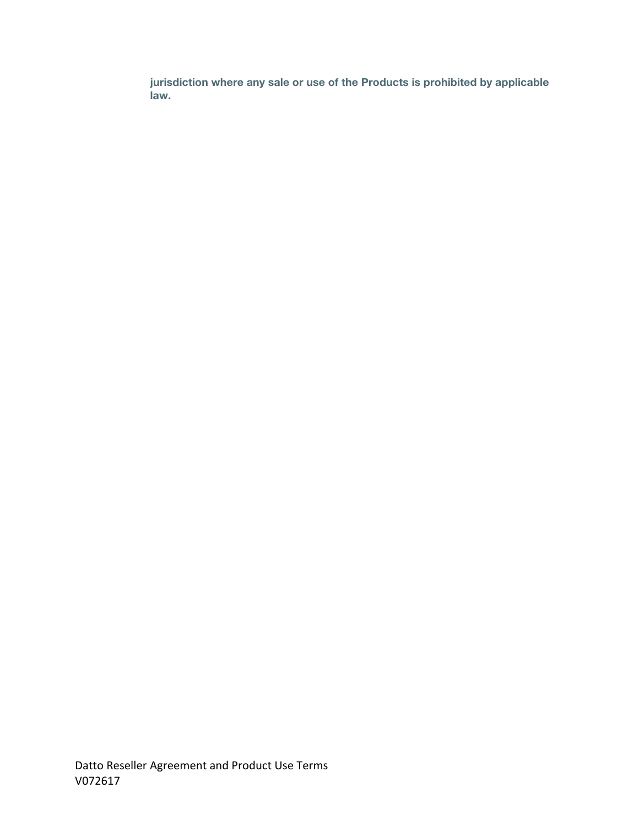**jurisdiction where any sale or use of the Products is prohibited by applicable law.**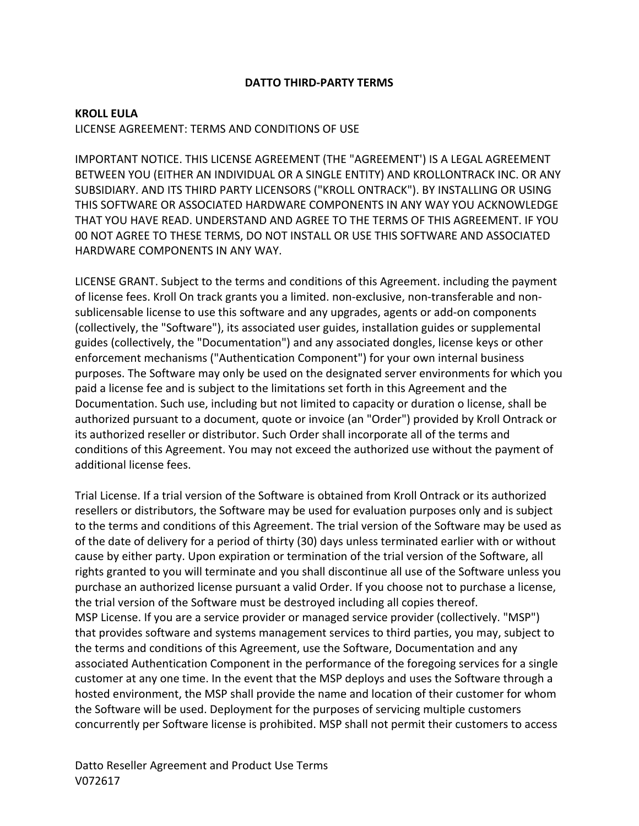### **DATTO THIRD-PARTY TERMS**

### **KROLL EULA**

### LICENSE AGREEMENT: TERMS AND CONDITIONS OF USE

IMPORTANT NOTICE. THIS LICENSE AGREEMENT (THE "AGREEMENT') IS A LEGAL AGREEMENT BETWEEN YOU (EITHER AN INDIVIDUAL OR A SINGLE ENTITY) AND KROLLONTRACK INC. OR ANY SUBSIDIARY. AND ITS THIRD PARTY LICENSORS ("KROLL ONTRACK"). BY INSTALLING OR USING THIS SOFTWARE OR ASSOCIATED HARDWARE COMPONENTS IN ANY WAY YOU ACKNOWLEDGE THAT YOU HAVE READ. UNDERSTAND AND AGREE TO THE TERMS OF THIS AGREEMENT. IF YOU 00 NOT AGREE TO THESE TERMS, DO NOT INSTALL OR USE THIS SOFTWARE AND ASSOCIATED HARDWARE COMPONENTS IN ANY WAY.

LICENSE GRANT. Subject to the terms and conditions of this Agreement. including the payment of license fees. Kroll On track grants you a limited. non-exclusive, non-transferable and nonsublicensable license to use this software and any upgrades, agents or add-on components (collectively, the "Software"), its associated user guides, installation guides or supplemental guides (collectively, the "Documentation") and any associated dongles, license keys or other enforcement mechanisms ("Authentication Component") for your own internal business purposes. The Software may only be used on the designated server environments for which you paid a license fee and is subject to the limitations set forth in this Agreement and the Documentation. Such use, including but not limited to capacity or duration o license, shall be authorized pursuant to a document, quote or invoice (an "Order") provided by Kroll Ontrack or its authorized reseller or distributor. Such Order shall incorporate all of the terms and conditions of this Agreement. You may not exceed the authorized use without the payment of additional license fees.

Trial License. If a trial version of the Software is obtained from Kroll Ontrack or its authorized resellers or distributors, the Software may be used for evaluation purposes only and is subject to the terms and conditions of this Agreement. The trial version of the Software may be used as of the date of delivery for a period of thirty (30) days unless terminated earlier with or without cause by either party. Upon expiration or termination of the trial version of the Software, all rights granted to you will terminate and you shall discontinue all use of the Software unless you purchase an authorized license pursuant a valid Order. If you choose not to purchase a license, the trial version of the Software must be destroyed including all copies thereof. MSP License. If you are a service provider or managed service provider (collectively. "MSP") that provides software and systems management services to third parties, you may, subject to the terms and conditions of this Agreement, use the Software, Documentation and any associated Authentication Component in the performance of the foregoing services for a single customer at any one time. In the event that the MSP deploys and uses the Software through a hosted environment, the MSP shall provide the name and location of their customer for whom the Software will be used. Deployment for the purposes of servicing multiple customers concurrently per Software license is prohibited. MSP shall not permit their customers to access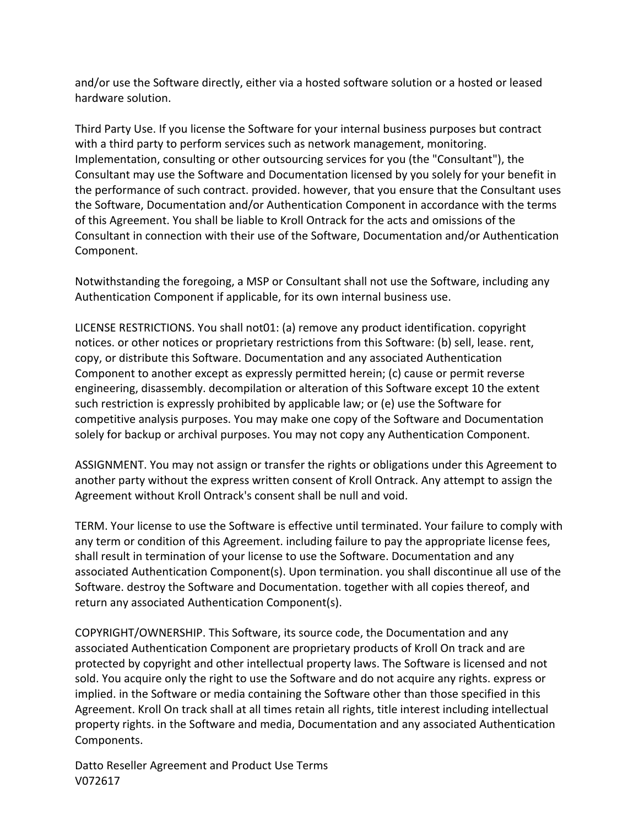and/or use the Software directly, either via a hosted software solution or a hosted or leased hardware solution.

Third Party Use. If you license the Software for your internal business purposes but contract with a third party to perform services such as network management, monitoring. Implementation, consulting or other outsourcing services for you (the "Consultant"), the Consultant may use the Software and Documentation licensed by you solely for your benefit in the performance of such contract. provided. however, that you ensure that the Consultant uses the Software, Documentation and/or Authentication Component in accordance with the terms of this Agreement. You shall be liable to Kroll Ontrack for the acts and omissions of the Consultant in connection with their use of the Software, Documentation and/or Authentication Component.

Notwithstanding the foregoing, a MSP or Consultant shall not use the Software, including any Authentication Component if applicable, for its own internal business use.

LICENSE RESTRICTIONS. You shall not 01: (a) remove any product identification. copyright notices. or other notices or proprietary restrictions from this Software: (b) sell, lease. rent, copy, or distribute this Software. Documentation and any associated Authentication Component to another except as expressly permitted herein; (c) cause or permit reverse engineering, disassembly. decompilation or alteration of this Software except 10 the extent such restriction is expressly prohibited by applicable law; or (e) use the Software for competitive analysis purposes. You may make one copy of the Software and Documentation solely for backup or archival purposes. You may not copy any Authentication Component.

ASSIGNMENT. You may not assign or transfer the rights or obligations under this Agreement to another party without the express written consent of Kroll Ontrack. Any attempt to assign the Agreement without Kroll Ontrack's consent shall be null and void.

TERM. Your license to use the Software is effective until terminated. Your failure to comply with any term or condition of this Agreement. including failure to pay the appropriate license fees, shall result in termination of your license to use the Software. Documentation and any associated Authentication Component(s). Upon termination. you shall discontinue all use of the Software. destroy the Software and Documentation. together with all copies thereof, and return any associated Authentication Component(s).

COPYRIGHT/OWNERSHIP. This Software, its source code, the Documentation and any associated Authentication Component are proprietary products of Kroll On track and are protected by copyright and other intellectual property laws. The Software is licensed and not sold. You acquire only the right to use the Software and do not acquire any rights. express or implied. in the Software or media containing the Software other than those specified in this Agreement. Kroll On track shall at all times retain all rights, title interest including intellectual property rights. in the Software and media, Documentation and any associated Authentication Components.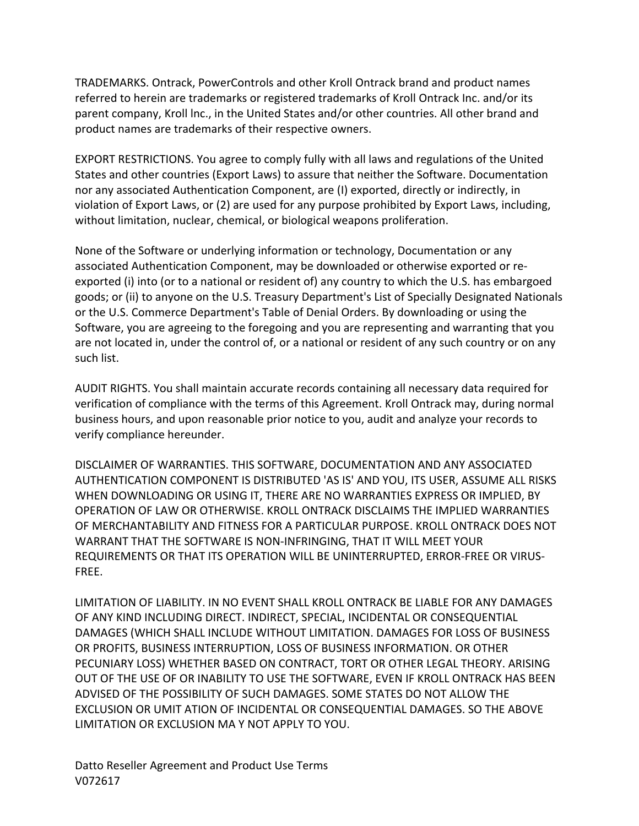TRADEMARKS. Ontrack, PowerControls and other Kroll Ontrack brand and product names referred to herein are trademarks or registered trademarks of Kroll Ontrack Inc. and/or its parent company, Kroll lnc., in the United States and/or other countries. All other brand and product names are trademarks of their respective owners.

EXPORT RESTRICTIONS. You agree to comply fully with all laws and regulations of the United States and other countries (Export Laws) to assure that neither the Software. Documentation nor any associated Authentication Component, are (I) exported, directly or indirectly, in violation of Export Laws, or (2) are used for any purpose prohibited by Export Laws, including, without limitation, nuclear, chemical, or biological weapons proliferation.

None of the Software or underlying information or technology, Documentation or any associated Authentication Component, may be downloaded or otherwise exported or reexported (i) into (or to a national or resident of) any country to which the U.S. has embargoed goods; or (ii) to anyone on the U.S. Treasury Department's List of Specially Designated Nationals or the U.S. Commerce Department's Table of Denial Orders. By downloading or using the Software, you are agreeing to the foregoing and you are representing and warranting that you are not located in, under the control of, or a national or resident of any such country or on any such list.

AUDIT RIGHTS. You shall maintain accurate records containing all necessary data required for verification of compliance with the terms of this Agreement. Kroll Ontrack may, during normal business hours, and upon reasonable prior notice to you, audit and analyze your records to verify compliance hereunder.

DISCLAIMER OF WARRANTIES. THIS SOFTWARE, DOCUMENTATION AND ANY ASSOCIATED AUTHENTICATION COMPONENT IS DISTRIBUTED 'AS IS' AND YOU, ITS USER, ASSUME ALL RISKS WHEN DOWNLOADING OR USING IT, THERE ARE NO WARRANTIES EXPRESS OR IMPLIED, BY OPERATION OF LAW OR OTHERWISE. KROLL ONTRACK DISCLAIMS THE IMPLIED WARRANTIES OF MERCHANTABILITY AND FITNESS FOR A PARTICULAR PURPOSE. KROLL ONTRACK DOES NOT WARRANT THAT THE SOFTWARE IS NON-INFRINGING, THAT IT WILL MEET YOUR REQUIREMENTS OR THAT ITS OPERATION WILL BE UNINTERRUPTED, ERROR-FREE OR VIRUS-FREE.

LIMITATION OF LIABILITY. IN NO EVENT SHALL KROLL ONTRACK BE LIABLE FOR ANY DAMAGES OF ANY KIND INCLUDING DIRECT. INDIRECT, SPECIAL, INCIDENTAL OR CONSEQUENTIAL DAMAGES (WHICH SHALL INCLUDE WITHOUT LIMITATION. DAMAGES FOR LOSS OF BUSINESS OR PROFITS, BUSINESS INTERRUPTION, LOSS OF BUSINESS INFORMATION. OR OTHER PECUNIARY LOSS) WHETHER BASED ON CONTRACT, TORT OR OTHER LEGAL THEORY. ARISING OUT OF THE USE OF OR INABILITY TO USE THE SOFTWARE, EVEN IF KROLL ONTRACK HAS BEEN ADVISED OF THE POSSIBILITY OF SUCH DAMAGES. SOME STATES DO NOT ALLOW THE EXCLUSION OR UMIT ATION OF INCIDENTAL OR CONSEQUENTIAL DAMAGES. SO THE ABOVE LIMITATION OR EXCLUSION MA Y NOT APPLY TO YOU.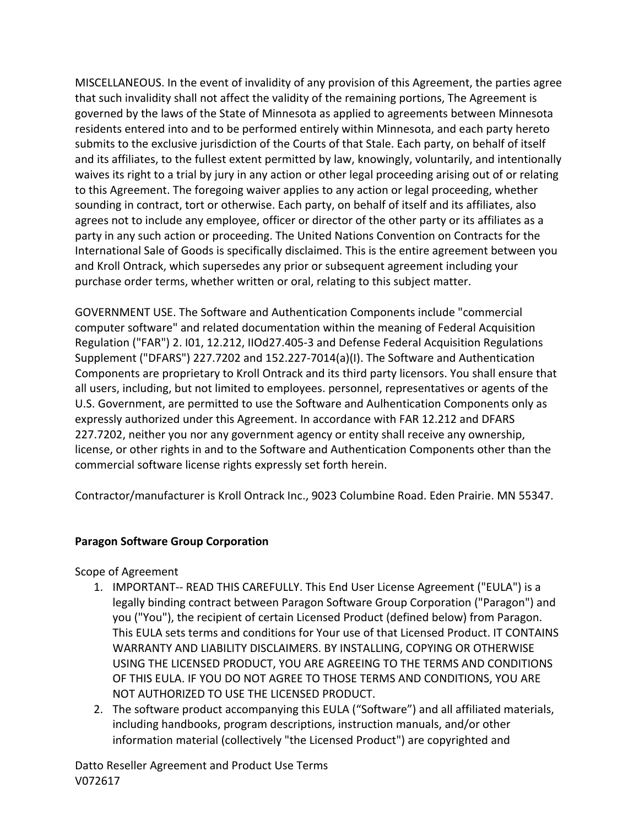MISCELLANEOUS. In the event of invalidity of any provision of this Agreement, the parties agree that such invalidity shall not affect the validity of the remaining portions, The Agreement is governed by the laws of the State of Minnesota as applied to agreements between Minnesota residents entered into and to be performed entirely within Minnesota, and each party hereto submits to the exclusive jurisdiction of the Courts of that Stale. Each party, on behalf of itself and its affiliates, to the fullest extent permitted by law, knowingly, voluntarily, and intentionally waives its right to a trial by jury in any action or other legal proceeding arising out of or relating to this Agreement. The foregoing waiver applies to any action or legal proceeding, whether sounding in contract, tort or otherwise. Each party, on behalf of itself and its affiliates, also agrees not to include any employee, officer or director of the other party or its affiliates as a party in any such action or proceeding. The United Nations Convention on Contracts for the International Sale of Goods is specifically disclaimed. This is the entire agreement between you and Kroll Ontrack, which supersedes any prior or subsequent agreement including your purchase order terms, whether written or oral, relating to this subject matter.

GOVERNMENT USE. The Software and Authentication Components include "commercial computer software" and related documentation within the meaning of Federal Acquisition Regulation ("FAR") 2. I01, 12.212, IIOd27.405-3 and Defense Federal Acquisition Regulations Supplement ("DFARS")  $227.7202$  and  $152.227-7014(a)(I)$ . The Software and Authentication Components are proprietary to Kroll Ontrack and its third party licensors. You shall ensure that all users, including, but not limited to employees. personnel, representatives or agents of the U.S. Government, are permitted to use the Software and Aulhentication Components only as expressly authorized under this Agreement. In accordance with FAR 12.212 and DFARS 227.7202, neither you nor any government agency or entity shall receive any ownership, license, or other rights in and to the Software and Authentication Components other than the commercial software license rights expressly set forth herein.

Contractor/manufacturer is Kroll Ontrack Inc., 9023 Columbine Road. Eden Prairie. MN 55347.

# **Paragon Software Group Corporation**

Scope of Agreement

- 1. IMPORTANT-- READ THIS CAREFULLY. This End User License Agreement ("EULA") is a legally binding contract between Paragon Software Group Corporation ("Paragon") and you ("You"), the recipient of certain Licensed Product (defined below) from Paragon. This EULA sets terms and conditions for Your use of that Licensed Product. IT CONTAINS WARRANTY AND LIABILITY DISCLAIMERS. BY INSTALLING, COPYING OR OTHERWISE USING THE LICENSED PRODUCT, YOU ARE AGREEING TO THE TERMS AND CONDITIONS OF THIS EULA. IF YOU DO NOT AGREE TO THOSE TERMS AND CONDITIONS, YOU ARE NOT AUTHORIZED TO USE THE LICENSED PRODUCT.
- 2. The software product accompanying this EULA ("Software") and all affiliated materials, including handbooks, program descriptions, instruction manuals, and/or other information material (collectively "the Licensed Product") are copyrighted and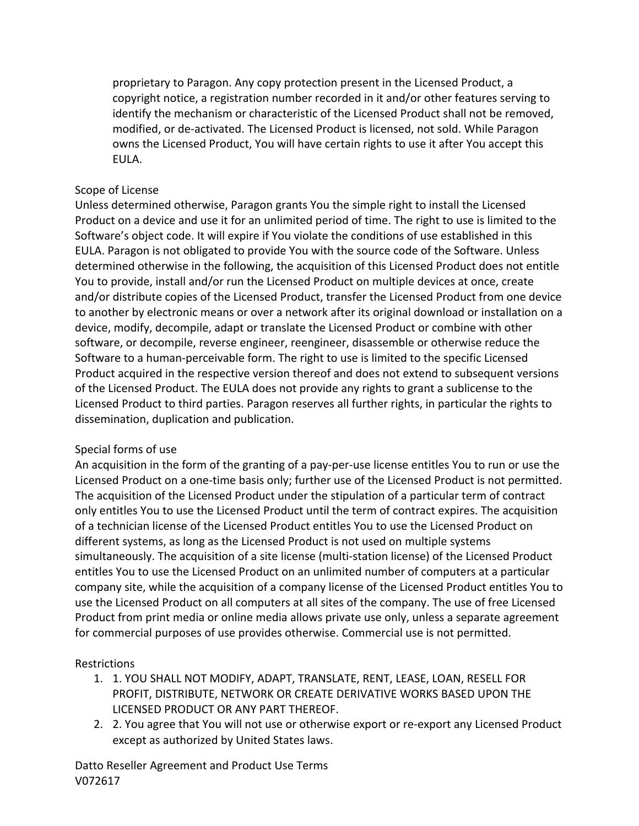proprietary to Paragon. Any copy protection present in the Licensed Product, a copyright notice, a registration number recorded in it and/or other features serving to identify the mechanism or characteristic of the Licensed Product shall not be removed, modified, or de-activated. The Licensed Product is licensed, not sold. While Paragon owns the Licensed Product, You will have certain rights to use it after You accept this EULA.

## Scope of License

Unless determined otherwise, Paragon grants You the simple right to install the Licensed Product on a device and use it for an unlimited period of time. The right to use is limited to the Software's object code. It will expire if You violate the conditions of use established in this EULA. Paragon is not obligated to provide You with the source code of the Software. Unless determined otherwise in the following, the acquisition of this Licensed Product does not entitle You to provide, install and/or run the Licensed Product on multiple devices at once, create and/or distribute copies of the Licensed Product, transfer the Licensed Product from one device to another by electronic means or over a network after its original download or installation on a device, modify, decompile, adapt or translate the Licensed Product or combine with other software, or decompile, reverse engineer, reengineer, disassemble or otherwise reduce the Software to a human-perceivable form. The right to use is limited to the specific Licensed Product acquired in the respective version thereof and does not extend to subsequent versions of the Licensed Product. The EULA does not provide any rights to grant a sublicense to the Licensed Product to third parties. Paragon reserves all further rights, in particular the rights to dissemination, duplication and publication.

## Special forms of use

An acquisition in the form of the granting of a pay-per-use license entitles You to run or use the Licensed Product on a one-time basis only; further use of the Licensed Product is not permitted. The acquisition of the Licensed Product under the stipulation of a particular term of contract only entitles You to use the Licensed Product until the term of contract expires. The acquisition of a technician license of the Licensed Product entitles You to use the Licensed Product on different systems, as long as the Licensed Product is not used on multiple systems simultaneously. The acquisition of a site license (multi-station license) of the Licensed Product entitles You to use the Licensed Product on an unlimited number of computers at a particular company site, while the acquisition of a company license of the Licensed Product entitles You to use the Licensed Product on all computers at all sites of the company. The use of free Licensed Product from print media or online media allows private use only, unless a separate agreement for commercial purposes of use provides otherwise. Commercial use is not permitted.

## **Restrictions**

- 1. 1. YOU SHALL NOT MODIFY, ADAPT, TRANSLATE, RENT, LEASE, LOAN, RESELL FOR PROFIT, DISTRIBUTE, NETWORK OR CREATE DERIVATIVE WORKS BASED UPON THE LICENSED PRODUCT OR ANY PART THEREOF.
- 2. 2. You agree that You will not use or otherwise export or re-export any Licensed Product except as authorized by United States laws.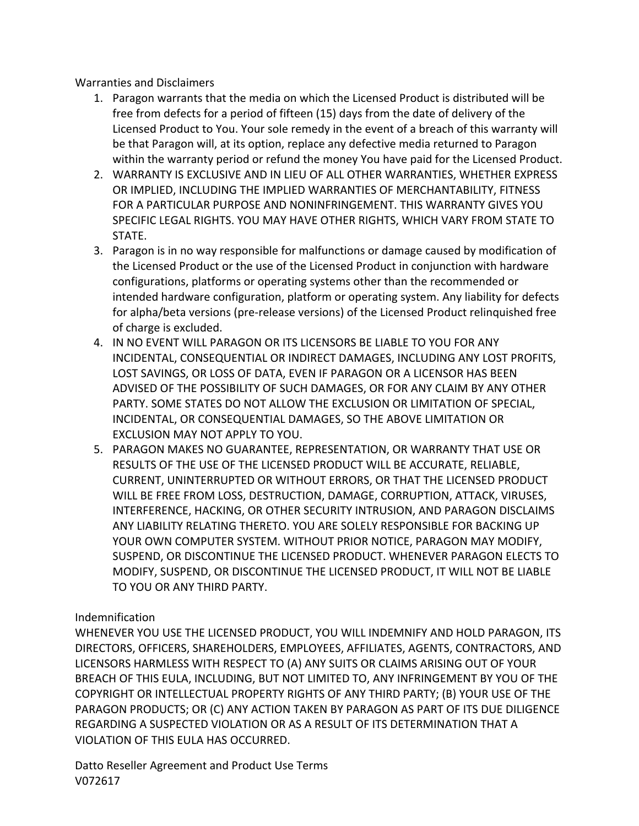Warranties and Disclaimers

- 1. Paragon warrants that the media on which the Licensed Product is distributed will be free from defects for a period of fifteen (15) days from the date of delivery of the Licensed Product to You. Your sole remedy in the event of a breach of this warranty will be that Paragon will, at its option, replace any defective media returned to Paragon within the warranty period or refund the money You have paid for the Licensed Product.
- 2. WARRANTY IS EXCLUSIVE AND IN LIEU OF ALL OTHER WARRANTIES, WHETHER EXPRESS OR IMPLIED, INCLUDING THE IMPLIED WARRANTIES OF MERCHANTABILITY, FITNESS FOR A PARTICULAR PURPOSE AND NONINFRINGEMENT. THIS WARRANTY GIVES YOU SPECIFIC LEGAL RIGHTS. YOU MAY HAVE OTHER RIGHTS, WHICH VARY FROM STATE TO STATE.
- 3. Paragon is in no way responsible for malfunctions or damage caused by modification of the Licensed Product or the use of the Licensed Product in conjunction with hardware configurations, platforms or operating systems other than the recommended or intended hardware configuration, platform or operating system. Any liability for defects for alpha/beta versions (pre-release versions) of the Licensed Product relinquished free of charge is excluded.
- 4. IN NO EVENT WILL PARAGON OR ITS LICENSORS BE LIABLE TO YOU FOR ANY INCIDENTAL, CONSEQUENTIAL OR INDIRECT DAMAGES, INCLUDING ANY LOST PROFITS, LOST SAVINGS, OR LOSS OF DATA, EVEN IF PARAGON OR A LICENSOR HAS BEEN ADVISED OF THE POSSIBILITY OF SUCH DAMAGES, OR FOR ANY CLAIM BY ANY OTHER PARTY. SOME STATES DO NOT ALLOW THE EXCLUSION OR LIMITATION OF SPECIAL, INCIDENTAL, OR CONSEQUENTIAL DAMAGES, SO THE ABOVE LIMITATION OR EXCLUSION MAY NOT APPLY TO YOU.
- 5. PARAGON MAKES NO GUARANTEE, REPRESENTATION, OR WARRANTY THAT USE OR RESULTS OF THE USE OF THE LICENSED PRODUCT WILL BE ACCURATE, RELIABLE, CURRENT, UNINTERRUPTED OR WITHOUT ERRORS, OR THAT THE LICENSED PRODUCT WILL BE FREE FROM LOSS, DESTRUCTION, DAMAGE, CORRUPTION, ATTACK, VIRUSES, INTERFERENCE, HACKING, OR OTHER SECURITY INTRUSION, AND PARAGON DISCLAIMS ANY LIABILITY RELATING THERETO. YOU ARE SOLELY RESPONSIBLE FOR BACKING UP YOUR OWN COMPUTER SYSTEM. WITHOUT PRIOR NOTICE, PARAGON MAY MODIFY, SUSPEND, OR DISCONTINUE THE LICENSED PRODUCT. WHENEVER PARAGON ELECTS TO MODIFY, SUSPEND, OR DISCONTINUE THE LICENSED PRODUCT, IT WILL NOT BE LIABLE TO YOU OR ANY THIRD PARTY.

## Indemnification

WHENEVER YOU USE THE LICENSED PRODUCT, YOU WILL INDEMNIFY AND HOLD PARAGON, ITS DIRECTORS, OFFICERS, SHAREHOLDERS, EMPLOYEES, AFFILIATES, AGENTS, CONTRACTORS, AND LICENSORS HARMLESS WITH RESPECT TO (A) ANY SUITS OR CLAIMS ARISING OUT OF YOUR BREACH OF THIS EULA, INCLUDING, BUT NOT LIMITED TO, ANY INFRINGEMENT BY YOU OF THE COPYRIGHT OR INTELLECTUAL PROPERTY RIGHTS OF ANY THIRD PARTY; (B) YOUR USE OF THE PARAGON PRODUCTS; OR (C) ANY ACTION TAKEN BY PARAGON AS PART OF ITS DUE DILIGENCE REGARDING A SUSPECTED VIOLATION OR AS A RESULT OF ITS DETERMINATION THAT A VIOLATION OF THIS EULA HAS OCCURRED.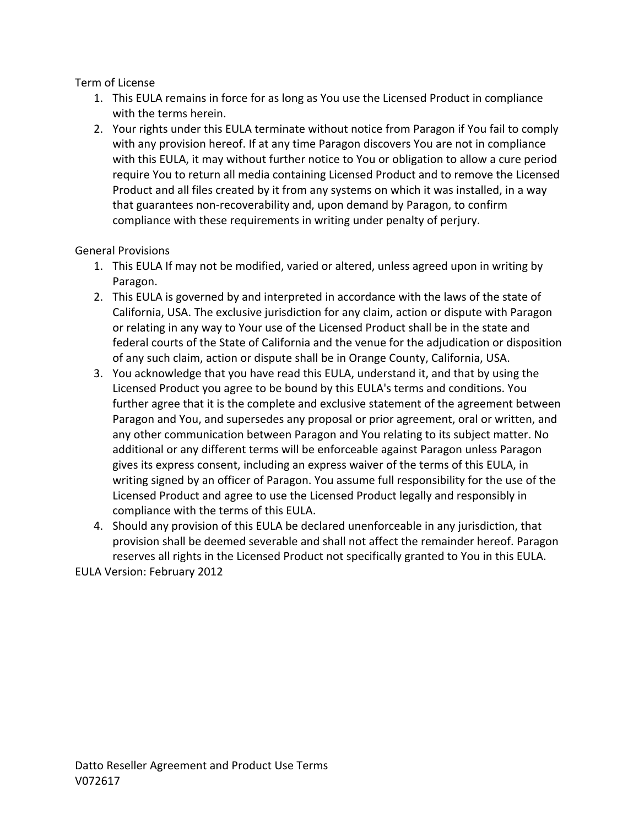Term of License

- 1. This EULA remains in force for as long as You use the Licensed Product in compliance with the terms herein.
- 2. Your rights under this EULA terminate without notice from Paragon if You fail to comply with any provision hereof. If at any time Paragon discovers You are not in compliance with this EULA, it may without further notice to You or obligation to allow a cure period require You to return all media containing Licensed Product and to remove the Licensed Product and all files created by it from any systems on which it was installed, in a way that guarantees non-recoverability and, upon demand by Paragon, to confirm compliance with these requirements in writing under penalty of perjury.

General Provisions

- 1. This EULA If may not be modified, varied or altered, unless agreed upon in writing by Paragon.
- 2. This EULA is governed by and interpreted in accordance with the laws of the state of California, USA. The exclusive jurisdiction for any claim, action or dispute with Paragon or relating in any way to Your use of the Licensed Product shall be in the state and federal courts of the State of California and the venue for the adjudication or disposition of any such claim, action or dispute shall be in Orange County, California, USA.
- 3. You acknowledge that you have read this EULA, understand it, and that by using the Licensed Product you agree to be bound by this EULA's terms and conditions. You further agree that it is the complete and exclusive statement of the agreement between Paragon and You, and supersedes any proposal or prior agreement, oral or written, and any other communication between Paragon and You relating to its subject matter. No additional or any different terms will be enforceable against Paragon unless Paragon gives its express consent, including an express waiver of the terms of this EULA, in writing signed by an officer of Paragon. You assume full responsibility for the use of the Licensed Product and agree to use the Licensed Product legally and responsibly in compliance with the terms of this EULA.
- 4. Should any provision of this EULA be declared unenforceable in any jurisdiction, that provision shall be deemed severable and shall not affect the remainder hereof. Paragon reserves all rights in the Licensed Product not specifically granted to You in this EULA.

EULA Version: February 2012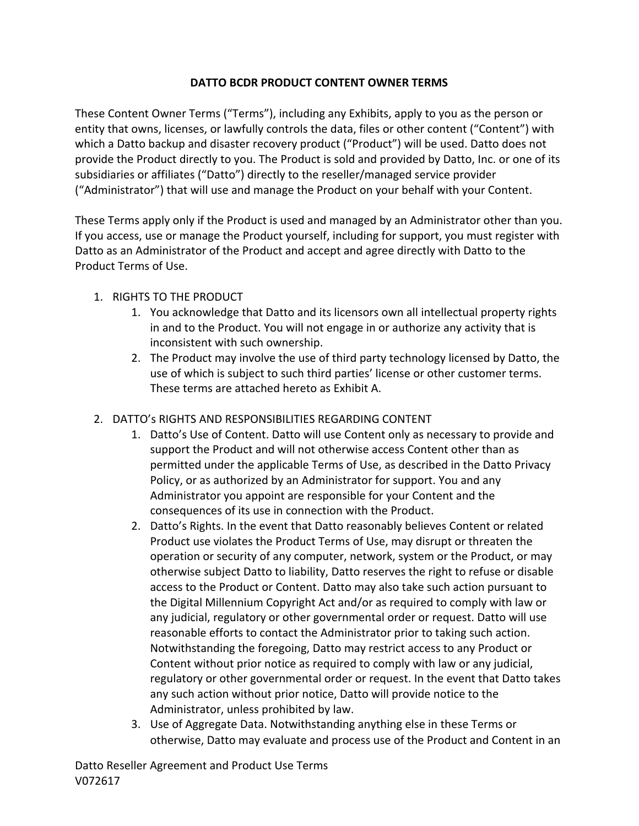# DATTO BCDR PRODUCT CONTENT OWNER TERMS

These Content Owner Terms ("Terms"), including any Exhibits, apply to you as the person or entity that owns, licenses, or lawfully controls the data, files or other content ("Content") with which a Datto backup and disaster recovery product ("Product") will be used. Datto does not provide the Product directly to you. The Product is sold and provided by Datto, Inc. or one of its subsidiaries or affiliates ("Datto") directly to the reseller/managed service provider ("Administrator") that will use and manage the Product on your behalf with your Content.

These Terms apply only if the Product is used and managed by an Administrator other than you. If you access, use or manage the Product yourself, including for support, you must register with Datto as an Administrator of the Product and accept and agree directly with Datto to the Product Terms of Use.

# 1. RIGHTS TO THE PRODUCT

- 1. You acknowledge that Datto and its licensors own all intellectual property rights in and to the Product. You will not engage in or authorize any activity that is inconsistent with such ownership.
- 2. The Product may involve the use of third party technology licensed by Datto, the use of which is subject to such third parties' license or other customer terms. These terms are attached hereto as Exhibit A.
- 2. DATTO's RIGHTS AND RESPONSIBILITIES REGARDING CONTENT
	- 1. Datto's Use of Content. Datto will use Content only as necessary to provide and support the Product and will not otherwise access Content other than as permitted under the applicable Terms of Use, as described in the Datto Privacy Policy, or as authorized by an Administrator for support. You and any Administrator you appoint are responsible for your Content and the consequences of its use in connection with the Product.
	- 2. Datto's Rights. In the event that Datto reasonably believes Content or related Product use violates the Product Terms of Use, may disrupt or threaten the operation or security of any computer, network, system or the Product, or may otherwise subject Datto to liability, Datto reserves the right to refuse or disable access to the Product or Content. Datto may also take such action pursuant to the Digital Millennium Copyright Act and/or as required to comply with law or any judicial, regulatory or other governmental order or request. Datto will use reasonable efforts to contact the Administrator prior to taking such action. Notwithstanding the foregoing, Datto may restrict access to any Product or Content without prior notice as required to comply with law or any judicial, regulatory or other governmental order or request. In the event that Datto takes any such action without prior notice, Datto will provide notice to the Administrator, unless prohibited by law.
	- 3. Use of Aggregate Data. Notwithstanding anything else in these Terms or otherwise, Datto may evaluate and process use of the Product and Content in an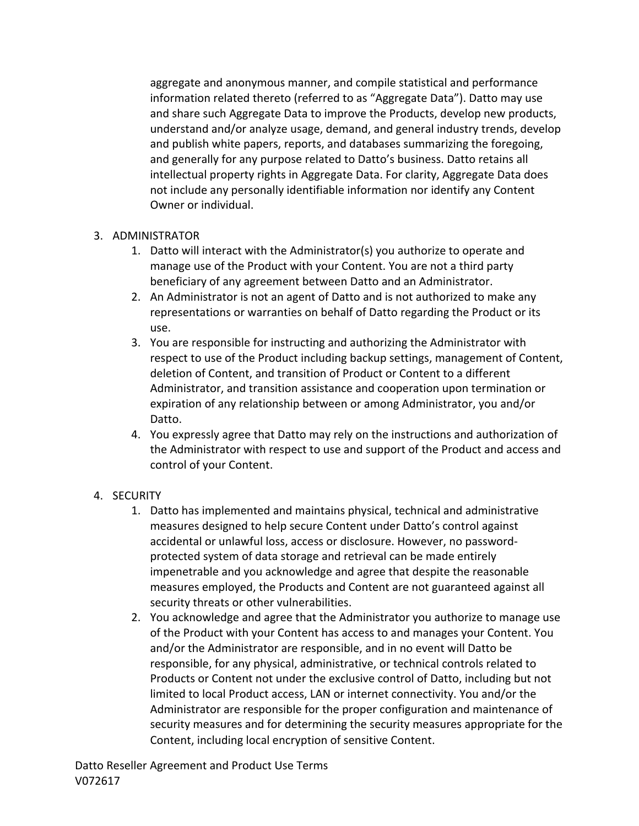aggregate and anonymous manner, and compile statistical and performance information related thereto (referred to as "Aggregate Data"). Datto may use and share such Aggregate Data to improve the Products, develop new products, understand and/or analyze usage, demand, and general industry trends, develop and publish white papers, reports, and databases summarizing the foregoing, and generally for any purpose related to Datto's business. Datto retains all intellectual property rights in Aggregate Data. For clarity, Aggregate Data does not include any personally identifiable information nor identify any Content Owner or individual.

# 3. ADMINISTRATOR

- 1. Datto will interact with the Administrator(s) you authorize to operate and manage use of the Product with your Content. You are not a third party beneficiary of any agreement between Datto and an Administrator.
- 2. An Administrator is not an agent of Datto and is not authorized to make any representations or warranties on behalf of Datto regarding the Product or its use.
- 3. You are responsible for instructing and authorizing the Administrator with respect to use of the Product including backup settings, management of Content, deletion of Content, and transition of Product or Content to a different Administrator, and transition assistance and cooperation upon termination or expiration of any relationship between or among Administrator, you and/or Datto.
- 4. You expressly agree that Datto may rely on the instructions and authorization of the Administrator with respect to use and support of the Product and access and control of your Content.

# 4. SECURITY

- 1. Datto has implemented and maintains physical, technical and administrative measures designed to help secure Content under Datto's control against accidental or unlawful loss, access or disclosure. However, no passwordprotected system of data storage and retrieval can be made entirely impenetrable and you acknowledge and agree that despite the reasonable measures employed, the Products and Content are not guaranteed against all security threats or other vulnerabilities.
- 2. You acknowledge and agree that the Administrator you authorize to manage use of the Product with your Content has access to and manages your Content. You and/or the Administrator are responsible, and in no event will Datto be responsible, for any physical, administrative, or technical controls related to Products or Content not under the exclusive control of Datto, including but not limited to local Product access, LAN or internet connectivity. You and/or the Administrator are responsible for the proper configuration and maintenance of security measures and for determining the security measures appropriate for the Content, including local encryption of sensitive Content.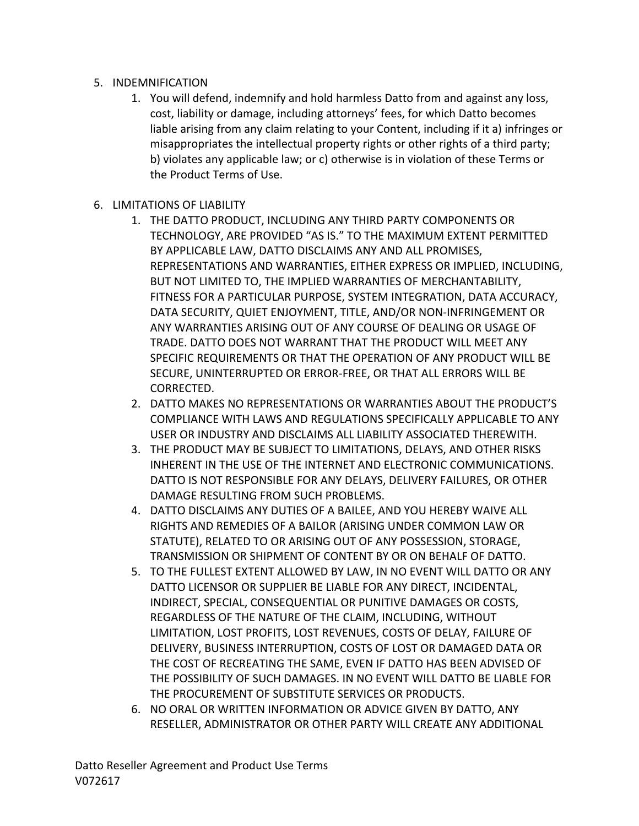# 5. INDEMNIFICATION

- 1. You will defend, indemnify and hold harmless Datto from and against any loss, cost, liability or damage, including attorneys' fees, for which Datto becomes liable arising from any claim relating to your Content, including if it a) infringes or misappropriates the intellectual property rights or other rights of a third party; b) violates any applicable law; or c) otherwise is in violation of these Terms or the Product Terms of Use.
- **6. LIMITATIONS OF LIABILITY** 
	- 1. THE DATTO PRODUCT, INCLUDING ANY THIRD PARTY COMPONENTS OR TECHNOLOGY, ARE PROVIDED "AS IS." TO THE MAXIMUM EXTENT PERMITTED BY APPLICABLE LAW, DATTO DISCLAIMS ANY AND ALL PROMISES, REPRESENTATIONS AND WARRANTIES, EITHER EXPRESS OR IMPLIED, INCLUDING, BUT NOT LIMITED TO, THE IMPLIED WARRANTIES OF MERCHANTABILITY, FITNESS FOR A PARTICULAR PURPOSE, SYSTEM INTEGRATION, DATA ACCURACY, DATA SECURITY, QUIET ENJOYMENT, TITLE, AND/OR NON-INFRINGEMENT OR ANY WARRANTIES ARISING OUT OF ANY COURSE OF DEALING OR USAGE OF TRADE. DATTO DOES NOT WARRANT THAT THE PRODUCT WILL MEET ANY SPECIFIC REQUIREMENTS OR THAT THE OPERATION OF ANY PRODUCT WILL BE SECURE, UNINTERRUPTED OR ERROR-FREE, OR THAT ALL ERRORS WILL BE CORRECTED.
	- 2. DATTO MAKES NO REPRESENTATIONS OR WARRANTIES ABOUT THE PRODUCT'S COMPLIANCE WITH LAWS AND REGULATIONS SPECIFICALLY APPLICABLE TO ANY USER OR INDUSTRY AND DISCLAIMS ALL LIABILITY ASSOCIATED THEREWITH.
	- 3. THE PRODUCT MAY BE SUBJECT TO LIMITATIONS, DELAYS, AND OTHER RISKS INHERENT IN THE USE OF THE INTERNET AND ELECTRONIC COMMUNICATIONS. DATTO IS NOT RESPONSIBLE FOR ANY DELAYS, DELIVERY FAILURES, OR OTHER DAMAGE RESULTING FROM SUCH PROBLEMS.
	- 4. DATTO DISCLAIMS ANY DUTIES OF A BAILEE, AND YOU HEREBY WAIVE ALL RIGHTS AND REMEDIES OF A BAILOR (ARISING UNDER COMMON LAW OR STATUTE), RELATED TO OR ARISING OUT OF ANY POSSESSION, STORAGE, TRANSMISSION OR SHIPMENT OF CONTENT BY OR ON BEHALF OF DATTO.
	- 5. TO THE FULLEST EXTENT ALLOWED BY LAW, IN NO EVENT WILL DATTO OR ANY DATTO LICENSOR OR SUPPLIER BE LIABLE FOR ANY DIRECT, INCIDENTAL, INDIRECT, SPECIAL, CONSEQUENTIAL OR PUNITIVE DAMAGES OR COSTS, REGARDLESS OF THE NATURE OF THE CLAIM, INCLUDING, WITHOUT LIMITATION, LOST PROFITS, LOST REVENUES, COSTS OF DELAY, FAILURE OF DELIVERY, BUSINESS INTERRUPTION, COSTS OF LOST OR DAMAGED DATA OR THE COST OF RECREATING THE SAME, EVEN IF DATTO HAS BEEN ADVISED OF THE POSSIBILITY OF SUCH DAMAGES. IN NO EVENT WILL DATTO BE LIABLE FOR THE PROCUREMENT OF SUBSTITUTE SERVICES OR PRODUCTS.
	- 6. NO ORAL OR WRITTEN INFORMATION OR ADVICE GIVEN BY DATTO, ANY RESELLER, ADMINISTRATOR OR OTHER PARTY WILL CREATE ANY ADDITIONAL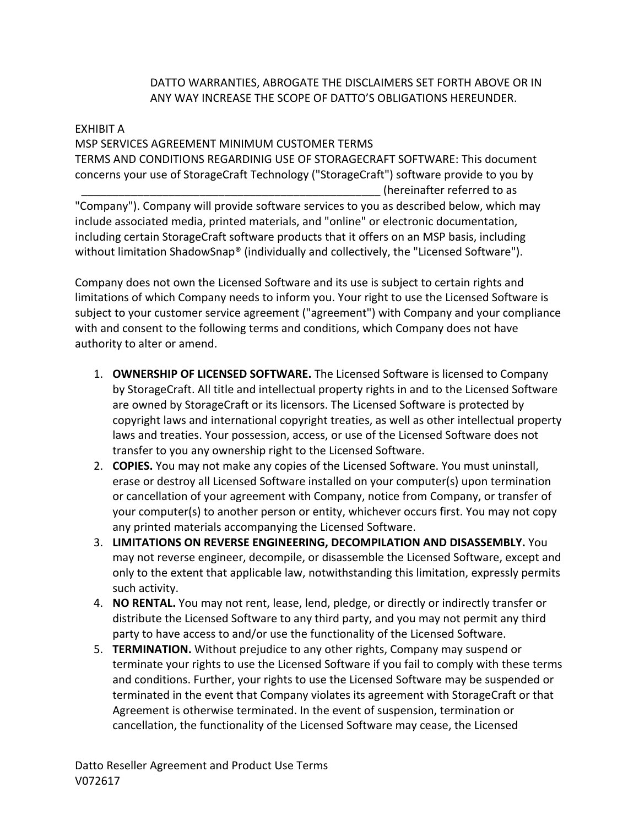# DATTO WARRANTIES, ABROGATE THE DISCLAIMERS SET FORTH ABOVE OR IN ANY WAY INCREASE THE SCOPE OF DATTO'S OBLIGATIONS HEREUNDER.

## EXHIBIT A

MSP SERVICES AGREEMENT MINIMUM CUSTOMER TERMS TERMS AND CONDITIONS REGARDINIG USE OF STORAGECRAFT SOFTWARE: This document concerns your use of StorageCraft Technology ("StorageCraft") software provide to you by (hereinafter referred to as "Company"). Company will provide software services to you as described below, which may

include associated media, printed materials, and "online" or electronic documentation, including certain StorageCraft software products that it offers on an MSP basis, including without limitation ShadowSnap® (individually and collectively, the "Licensed Software").

Company does not own the Licensed Software and its use is subject to certain rights and limitations of which Company needs to inform you. Your right to use the Licensed Software is subject to your customer service agreement ("agreement") with Company and your compliance with and consent to the following terms and conditions, which Company does not have authority to alter or amend.

- 1. **OWNERSHIP OF LICENSED SOFTWARE.** The Licensed Software is licensed to Company by StorageCraft. All title and intellectual property rights in and to the Licensed Software are owned by StorageCraft or its licensors. The Licensed Software is protected by copyright laws and international copyright treaties, as well as other intellectual property laws and treaties. Your possession, access, or use of the Licensed Software does not transfer to you any ownership right to the Licensed Software.
- 2. **COPIES.** You may not make any copies of the Licensed Software. You must uninstall, erase or destroy all Licensed Software installed on your computer(s) upon termination or cancellation of your agreement with Company, notice from Company, or transfer of your computer(s) to another person or entity, whichever occurs first. You may not copy any printed materials accompanying the Licensed Software.
- 3. LIMITATIONS ON REVERSE ENGINEERING, DECOMPILATION AND DISASSEMBLY. You may not reverse engineer, decompile, or disassemble the Licensed Software, except and only to the extent that applicable law, notwithstanding this limitation, expressly permits such activity.
- 4. **NO RENTAL.** You may not rent, lease, lend, pledge, or directly or indirectly transfer or distribute the Licensed Software to any third party, and you may not permit any third party to have access to and/or use the functionality of the Licensed Software.
- 5. **TERMINATION.** Without prejudice to any other rights, Company may suspend or terminate your rights to use the Licensed Software if you fail to comply with these terms and conditions. Further, your rights to use the Licensed Software may be suspended or terminated in the event that Company violates its agreement with StorageCraft or that Agreement is otherwise terminated. In the event of suspension, termination or cancellation, the functionality of the Licensed Software may cease, the Licensed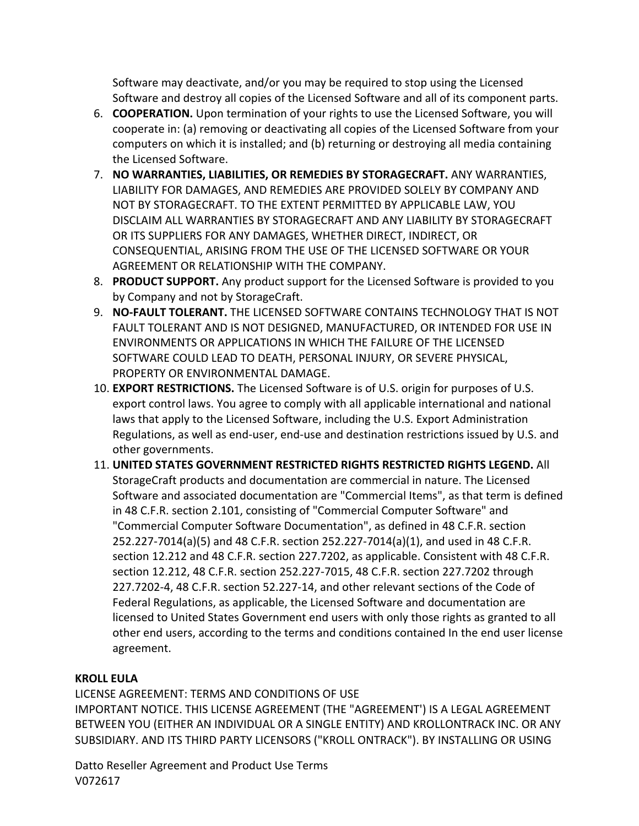Software may deactivate, and/or you may be required to stop using the Licensed Software and destroy all copies of the Licensed Software and all of its component parts.

- 6. **COOPERATION.** Upon termination of your rights to use the Licensed Software, you will cooperate in: (a) removing or deactivating all copies of the Licensed Software from your computers on which it is installed; and (b) returning or destroying all media containing the Licensed Software.
- 7. **NO WARRANTIES, LIABILITIES, OR REMEDIES BY STORAGECRAFT.** ANY WARRANTIES, LIABILITY FOR DAMAGES, AND REMEDIES ARE PROVIDED SOLELY BY COMPANY AND NOT BY STORAGECRAFT. TO THE EXTENT PERMITTED BY APPLICABLE LAW, YOU DISCLAIM ALL WARRANTIES BY STORAGECRAFT AND ANY LIABILITY BY STORAGECRAFT OR ITS SUPPLIERS FOR ANY DAMAGES, WHETHER DIRECT, INDIRECT, OR CONSEQUENTIAL, ARISING FROM THE USE OF THE LICENSED SOFTWARE OR YOUR AGREEMENT OR RELATIONSHIP WITH THE COMPANY.
- 8. **PRODUCT SUPPORT.** Any product support for the Licensed Software is provided to you by Company and not by StorageCraft.
- 9. **NO-FAULT TOLERANT.** THE LICENSED SOFTWARE CONTAINS TECHNOLOGY THAT IS NOT FAULT TOLERANT AND IS NOT DESIGNED, MANUFACTURED, OR INTENDED FOR USE IN ENVIRONMENTS OR APPLICATIONS IN WHICH THE FAILURE OF THE LICENSED SOFTWARE COULD LEAD TO DEATH, PERSONAL INJURY, OR SEVERE PHYSICAL, PROPERTY OR ENVIRONMENTAL DAMAGE.
- 10. **EXPORT RESTRICTIONS.** The Licensed Software is of U.S. origin for purposes of U.S. export control laws. You agree to comply with all applicable international and national laws that apply to the Licensed Software, including the U.S. Export Administration Regulations, as well as end-user, end-use and destination restrictions issued by U.S. and other governments.
- **11. UNITED STATES GOVERNMENT RESTRICTED RIGHTS RESTRICTED RIGHTS LEGEND.** All StorageCraft products and documentation are commercial in nature. The Licensed Software and associated documentation are "Commercial Items", as that term is defined in 48 C.F.R. section 2.101, consisting of "Commercial Computer Software" and "Commercial Computer Software Documentation", as defined in 48 C.F.R. section  $252.227-7014(a)(5)$  and 48 C.F.R. section  $252.227-7014(a)(1)$ , and used in 48 C.F.R. section 12.212 and 48 C.F.R. section 227.7202, as applicable. Consistent with 48 C.F.R. section 12.212, 48 C.F.R. section 252.227-7015, 48 C.F.R. section 227.7202 through 227.7202-4, 48 C.F.R. section 52.227-14, and other relevant sections of the Code of Federal Regulations, as applicable, the Licensed Software and documentation are licensed to United States Government end users with only those rights as granted to all other end users, according to the terms and conditions contained In the end user license agreement.

# **KROLL EULA**

LICENSE AGREEMENT: TERMS AND CONDITIONS OF USE IMPORTANT NOTICE. THIS LICENSE AGREEMENT (THE "AGREEMENT') IS A LEGAL AGREEMENT BETWEEN YOU (EITHER AN INDIVIDUAL OR A SINGLE ENTITY) AND KROLLONTRACK INC. OR ANY SUBSIDIARY. AND ITS THIRD PARTY LICENSORS ("KROLL ONTRACK"). BY INSTALLING OR USING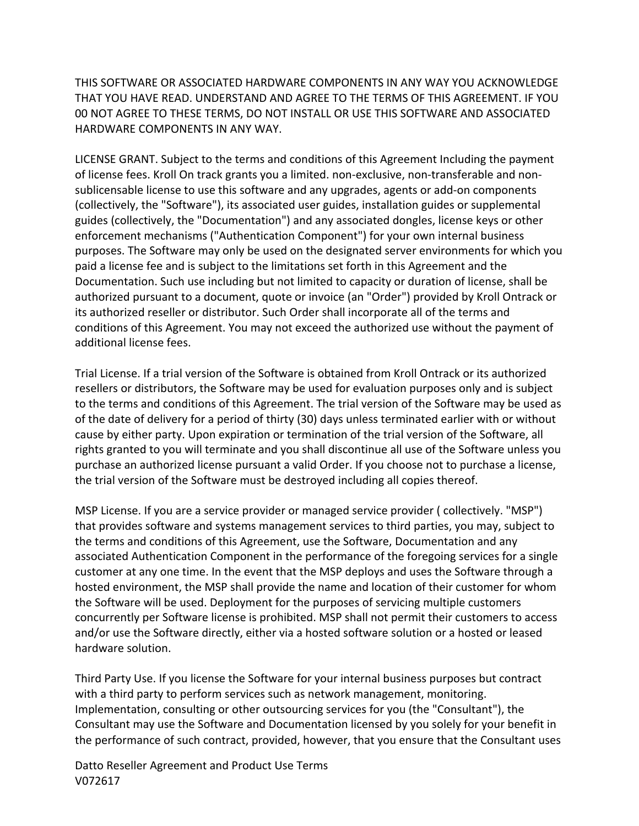THIS SOFTWARE OR ASSOCIATED HARDWARE COMPONENTS IN ANY WAY YOU ACKNOWLEDGE THAT YOU HAVE READ. UNDERSTAND AND AGREE TO THE TERMS OF THIS AGREEMENT. IF YOU 00 NOT AGREE TO THESE TERMS, DO NOT INSTALL OR USE THIS SOFTWARE AND ASSOCIATED HARDWARE COMPONENTS IN ANY WAY.

LICENSE GRANT. Subject to the terms and conditions of this Agreement Including the payment of license fees. Kroll On track grants you a limited. non-exclusive, non-transferable and nonsublicensable license to use this software and any upgrades, agents or add-on components (collectively, the "Software"), its associated user guides, installation guides or supplemental guides (collectively, the "Documentation") and any associated dongles, license keys or other enforcement mechanisms ("Authentication Component") for your own internal business purposes. The Software may only be used on the designated server environments for which you paid a license fee and is subject to the limitations set forth in this Agreement and the Documentation. Such use including but not limited to capacity or duration of license, shall be authorized pursuant to a document, quote or invoice (an "Order") provided by Kroll Ontrack or its authorized reseller or distributor. Such Order shall incorporate all of the terms and conditions of this Agreement. You may not exceed the authorized use without the payment of additional license fees.

Trial License. If a trial version of the Software is obtained from Kroll Ontrack or its authorized resellers or distributors, the Software may be used for evaluation purposes only and is subject to the terms and conditions of this Agreement. The trial version of the Software may be used as of the date of delivery for a period of thirty (30) days unless terminated earlier with or without cause by either party. Upon expiration or termination of the trial version of the Software, all rights granted to you will terminate and you shall discontinue all use of the Software unless you purchase an authorized license pursuant a valid Order. If you choose not to purchase a license, the trial version of the Software must be destroyed including all copies thereof.

MSP License. If you are a service provider or managed service provider ( collectively. "MSP") that provides software and systems management services to third parties, you may, subject to the terms and conditions of this Agreement, use the Software, Documentation and any associated Authentication Component in the performance of the foregoing services for a single customer at any one time. In the event that the MSP deploys and uses the Software through a hosted environment, the MSP shall provide the name and location of their customer for whom the Software will be used. Deployment for the purposes of servicing multiple customers concurrently per Software license is prohibited. MSP shall not permit their customers to access and/or use the Software directly, either via a hosted software solution or a hosted or leased hardware solution.

Third Party Use. If you license the Software for your internal business purposes but contract with a third party to perform services such as network management, monitoring. Implementation, consulting or other outsourcing services for you (the "Consultant"), the Consultant may use the Software and Documentation licensed by you solely for your benefit in the performance of such contract, provided, however, that you ensure that the Consultant uses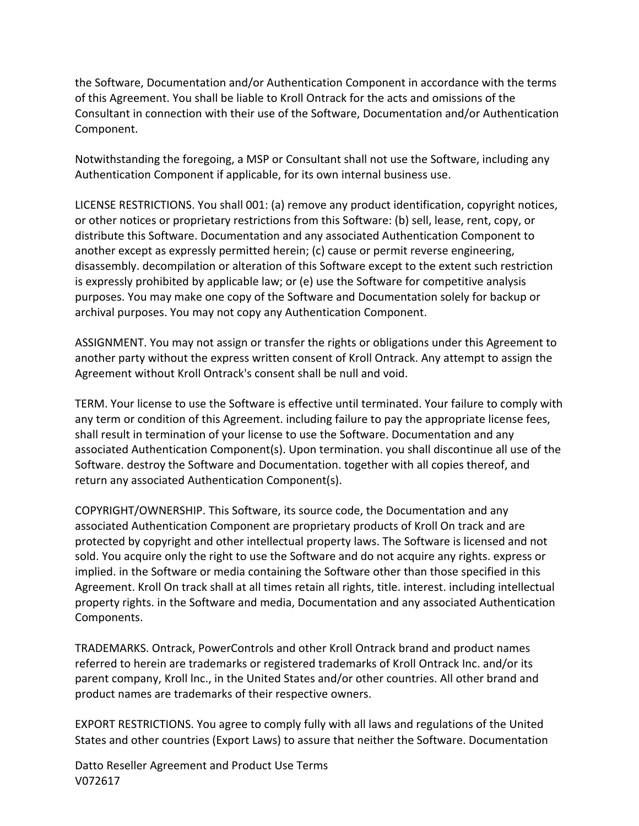the Software, Documentation and/or Authentication Component in accordance with the terms of this Agreement. You shall be liable to Kroll Ontrack for the acts and omissions of the Consultant in connection with their use of the Software, Documentation and/or Authentication Component.

Notwithstanding the foregoing, a MSP or Consultant shall not use the Software, including any Authentication Component if applicable, for its own internal business use.

LICENSE RESTRICTIONS. You shall 001: (a) remove any product identification, copyright notices, or other notices or proprietary restrictions from this Software: (b) sell, lease, rent, copy, or distribute this Software. Documentation and any associated Authentication Component to another except as expressly permitted herein; (c) cause or permit reverse engineering, disassembly. decompilation or alteration of this Software except to the extent such restriction is expressly prohibited by applicable law; or (e) use the Software for competitive analysis purposes. You may make one copy of the Software and Documentation solely for backup or archival purposes. You may not copy any Authentication Component.

ASSIGNMENT. You may not assign or transfer the rights or obligations under this Agreement to another party without the express written consent of Kroll Ontrack. Any attempt to assign the Agreement without Kroll Ontrack's consent shall be null and void.

TERM. Your license to use the Software is effective until terminated. Your failure to comply with any term or condition of this Agreement. including failure to pay the appropriate license fees, shall result in termination of your license to use the Software. Documentation and any associated Authentication Component(s). Upon termination. you shall discontinue all use of the Software. destroy the Software and Documentation. together with all copies thereof, and return any associated Authentication Component(s).

COPYRIGHT/OWNERSHIP. This Software, its source code, the Documentation and any associated Authentication Component are proprietary products of Kroll On track and are protected by copyright and other intellectual property laws. The Software is licensed and not sold. You acquire only the right to use the Software and do not acquire any rights. express or implied. in the Software or media containing the Software other than those specified in this Agreement. Kroll On track shall at all times retain all rights, title. interest. including intellectual property rights. in the Software and media, Documentation and any associated Authentication Components.

TRADEMARKS. Ontrack, PowerControls and other Kroll Ontrack brand and product names referred to herein are trademarks or registered trademarks of Kroll Ontrack Inc. and/or its parent company, Kroll lnc., in the United States and/or other countries. All other brand and product names are trademarks of their respective owners.

EXPORT RESTRICTIONS. You agree to comply fully with all laws and regulations of the United States and other countries (Export Laws) to assure that neither the Software. Documentation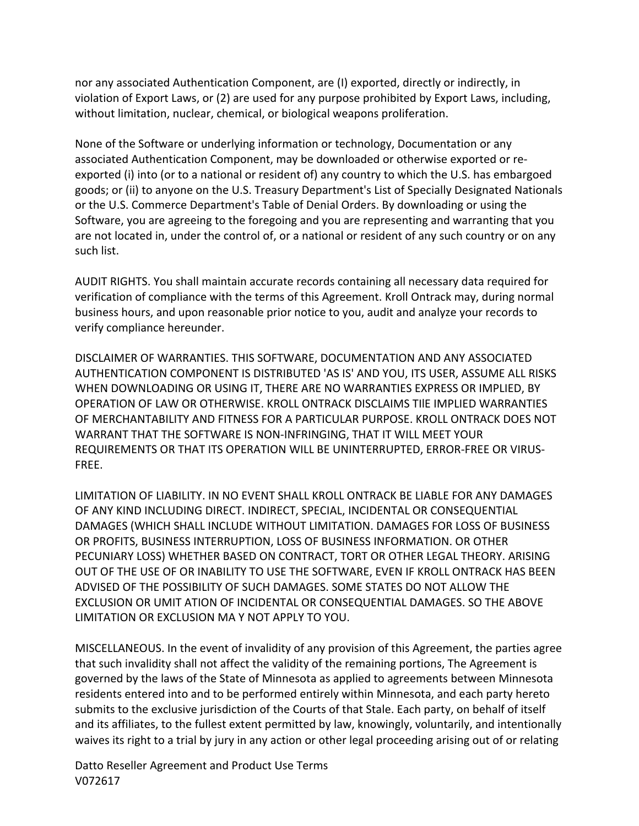nor any associated Authentication Component, are (I) exported, directly or indirectly, in violation of Export Laws, or (2) are used for any purpose prohibited by Export Laws, including, without limitation, nuclear, chemical, or biological weapons proliferation.

None of the Software or underlying information or technology, Documentation or any associated Authentication Component, may be downloaded or otherwise exported or reexported (i) into (or to a national or resident of) any country to which the U.S. has embargoed goods; or (ii) to anyone on the U.S. Treasury Department's List of Specially Designated Nationals or the U.S. Commerce Department's Table of Denial Orders. By downloading or using the Software, you are agreeing to the foregoing and you are representing and warranting that you are not located in, under the control of, or a national or resident of any such country or on any such list.

AUDIT RIGHTS. You shall maintain accurate records containing all necessary data required for verification of compliance with the terms of this Agreement. Kroll Ontrack may, during normal business hours, and upon reasonable prior notice to you, audit and analyze your records to verify compliance hereunder.

DISCLAIMER OF WARRANTIES. THIS SOFTWARE, DOCUMENTATION AND ANY ASSOCIATED AUTHENTICATION COMPONENT IS DISTRIBUTED 'AS IS' AND YOU, ITS USER, ASSUME ALL RISKS WHEN DOWNLOADING OR USING IT, THERE ARE NO WARRANTIES EXPRESS OR IMPLIED, BY OPERATION OF LAW OR OTHERWISE. KROLL ONTRACK DISCLAIMS TIJE IMPLIED WARRANTIES OF MERCHANTABILITY AND FITNESS FOR A PARTICULAR PURPOSE. KROLL ONTRACK DOES NOT WARRANT THAT THE SOFTWARE IS NON-INFRINGING, THAT IT WILL MEET YOUR REQUIREMENTS OR THAT ITS OPERATION WILL BE UNINTERRUPTED, ERROR-FREE OR VIRUS-FREE.

LIMITATION OF LIABILITY. IN NO EVENT SHALL KROLL ONTRACK BE LIABLE FOR ANY DAMAGES OF ANY KIND INCLUDING DIRECT. INDIRECT, SPECIAL, INCIDENTAL OR CONSEQUENTIAL DAMAGES (WHICH SHALL INCLUDE WITHOUT LIMITATION. DAMAGES FOR LOSS OF BUSINESS OR PROFITS, BUSINESS INTERRUPTION, LOSS OF BUSINESS INFORMATION. OR OTHER PECUNIARY LOSS) WHETHER BASED ON CONTRACT, TORT OR OTHER LEGAL THEORY. ARISING OUT OF THE USE OF OR INABILITY TO USE THE SOFTWARE, EVEN IF KROLL ONTRACK HAS BEEN ADVISED OF THE POSSIBILITY OF SUCH DAMAGES. SOME STATES DO NOT ALLOW THE EXCLUSION OR UMIT ATION OF INCIDENTAL OR CONSEQUENTIAL DAMAGES. SO THE ABOVE LIMITATION OR EXCLUSION MA Y NOT APPLY TO YOU.

MISCELLANEOUS. In the event of invalidity of any provision of this Agreement, the parties agree that such invalidity shall not affect the validity of the remaining portions, The Agreement is governed by the laws of the State of Minnesota as applied to agreements between Minnesota residents entered into and to be performed entirely within Minnesota, and each party hereto submits to the exclusive jurisdiction of the Courts of that Stale. Each party, on behalf of itself and its affiliates, to the fullest extent permitted by law, knowingly, voluntarily, and intentionally waives its right to a trial by jury in any action or other legal proceeding arising out of or relating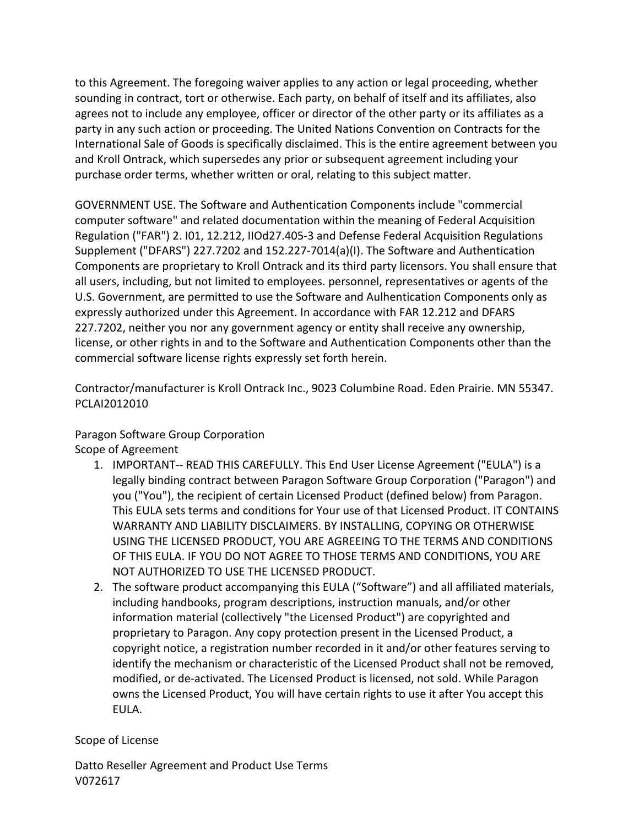to this Agreement. The foregoing waiver applies to any action or legal proceeding, whether sounding in contract, tort or otherwise. Each party, on behalf of itself and its affiliates, also agrees not to include any employee, officer or director of the other party or its affiliates as a party in any such action or proceeding. The United Nations Convention on Contracts for the International Sale of Goods is specifically disclaimed. This is the entire agreement between you and Kroll Ontrack, which supersedes any prior or subsequent agreement including your purchase order terms, whether written or oral, relating to this subject matter.

GOVERNMENT USE. The Software and Authentication Components include "commercial computer software" and related documentation within the meaning of Federal Acquisition Regulation ("FAR") 2. I01, 12.212, IIOd27.405-3 and Defense Federal Acquisition Regulations Supplement ("DFARS") 227.7202 and  $152.227$ -7014(a)(I). The Software and Authentication Components are proprietary to Kroll Ontrack and its third party licensors. You shall ensure that all users, including, but not limited to employees. personnel, representatives or agents of the U.S. Government, are permitted to use the Software and Aulhentication Components only as expressly authorized under this Agreement. In accordance with FAR 12.212 and DFARS 227.7202, neither you nor any government agency or entity shall receive any ownership, license, or other rights in and to the Software and Authentication Components other than the commercial software license rights expressly set forth herein.

Contractor/manufacturer is Kroll Ontrack Inc., 9023 Columbine Road. Eden Prairie. MN 55347. PCLAI2012010

Paragon Software Group Corporation

Scope of Agreement

- 1. IMPORTANT-- READ THIS CAREFULLY. This End User License Agreement ("EULA") is a legally binding contract between Paragon Software Group Corporation ("Paragon") and you ("You"), the recipient of certain Licensed Product (defined below) from Paragon. This EULA sets terms and conditions for Your use of that Licensed Product. IT CONTAINS WARRANTY AND LIABILITY DISCLAIMERS. BY INSTALLING, COPYING OR OTHERWISE USING THE LICENSED PRODUCT, YOU ARE AGREEING TO THE TERMS AND CONDITIONS OF THIS EULA. IF YOU DO NOT AGREE TO THOSE TERMS AND CONDITIONS, YOU ARE NOT AUTHORIZED TO USE THE LICENSED PRODUCT.
- 2. The software product accompanying this EULA ("Software") and all affiliated materials, including handbooks, program descriptions, instruction manuals, and/or other information material (collectively "the Licensed Product") are copyrighted and proprietary to Paragon. Any copy protection present in the Licensed Product, a copyright notice, a registration number recorded in it and/or other features serving to identify the mechanism or characteristic of the Licensed Product shall not be removed, modified, or de-activated. The Licensed Product is licensed, not sold. While Paragon owns the Licensed Product, You will have certain rights to use it after You accept this EULA.

## Scope of License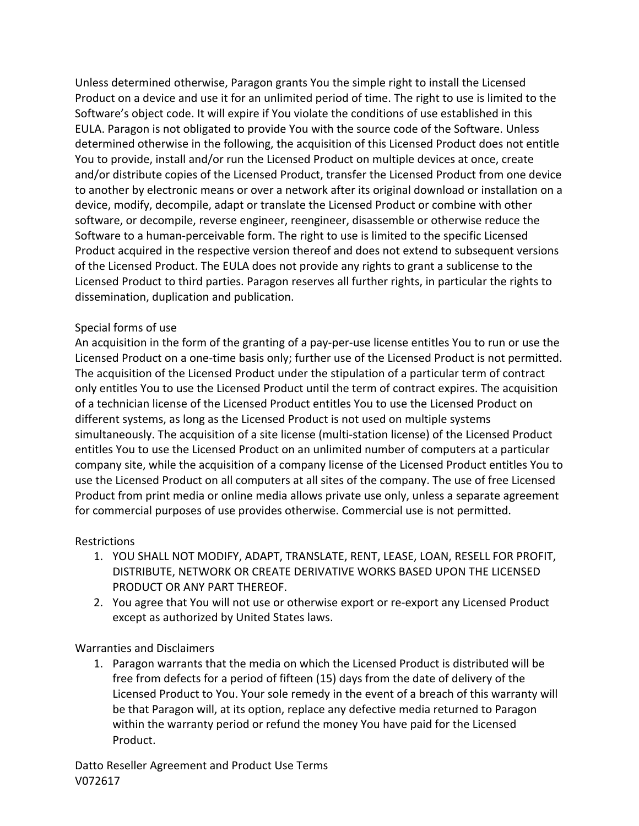Unless determined otherwise, Paragon grants You the simple right to install the Licensed Product on a device and use it for an unlimited period of time. The right to use is limited to the Software's object code. It will expire if You violate the conditions of use established in this EULA. Paragon is not obligated to provide You with the source code of the Software. Unless determined otherwise in the following, the acquisition of this Licensed Product does not entitle You to provide, install and/or run the Licensed Product on multiple devices at once, create and/or distribute copies of the Licensed Product, transfer the Licensed Product from one device to another by electronic means or over a network after its original download or installation on a device, modify, decompile, adapt or translate the Licensed Product or combine with other software, or decompile, reverse engineer, reengineer, disassemble or otherwise reduce the Software to a human-perceivable form. The right to use is limited to the specific Licensed Product acquired in the respective version thereof and does not extend to subsequent versions of the Licensed Product. The EULA does not provide any rights to grant a sublicense to the Licensed Product to third parties. Paragon reserves all further rights, in particular the rights to dissemination, duplication and publication.

### Special forms of use

An acquisition in the form of the granting of a pay-per-use license entitles You to run or use the Licensed Product on a one-time basis only; further use of the Licensed Product is not permitted. The acquisition of the Licensed Product under the stipulation of a particular term of contract only entitles You to use the Licensed Product until the term of contract expires. The acquisition of a technician license of the Licensed Product entitles You to use the Licensed Product on different systems, as long as the Licensed Product is not used on multiple systems simultaneously. The acquisition of a site license (multi-station license) of the Licensed Product entitles You to use the Licensed Product on an unlimited number of computers at a particular company site, while the acquisition of a company license of the Licensed Product entitles You to use the Licensed Product on all computers at all sites of the company. The use of free Licensed Product from print media or online media allows private use only, unless a separate agreement for commercial purposes of use provides otherwise. Commercial use is not permitted.

### Restrictions

- 1. YOU SHALL NOT MODIFY, ADAPT, TRANSLATE, RENT, LEASE, LOAN, RESELL FOR PROFIT, DISTRIBUTE, NETWORK OR CREATE DERIVATIVE WORKS BASED UPON THE LICENSED PRODUCT OR ANY PART THEREOF.
- 2. You agree that You will not use or otherwise export or re-export any Licensed Product except as authorized by United States laws.

Warranties and Disclaimers

1. Paragon warrants that the media on which the Licensed Product is distributed will be free from defects for a period of fifteen (15) days from the date of delivery of the Licensed Product to You. Your sole remedy in the event of a breach of this warranty will be that Paragon will, at its option, replace any defective media returned to Paragon within the warranty period or refund the money You have paid for the Licensed Product.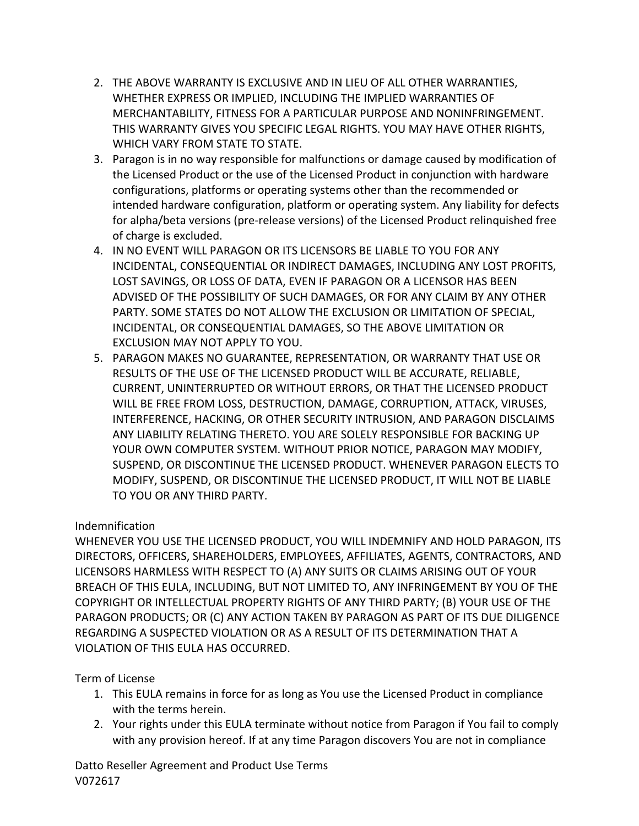- 2. THE ABOVE WARRANTY IS EXCLUSIVE AND IN LIEU OF ALL OTHER WARRANTIES, WHETHER EXPRESS OR IMPLIED, INCLUDING THE IMPLIED WARRANTIES OF MERCHANTABILITY, FITNESS FOR A PARTICULAR PURPOSE AND NONINFRINGEMENT. THIS WARRANTY GIVES YOU SPECIFIC LEGAL RIGHTS. YOU MAY HAVE OTHER RIGHTS. WHICH VARY FROM STATE TO STATE.
- 3. Paragon is in no way responsible for malfunctions or damage caused by modification of the Licensed Product or the use of the Licensed Product in conjunction with hardware configurations, platforms or operating systems other than the recommended or intended hardware configuration, platform or operating system. Any liability for defects for alpha/beta versions (pre-release versions) of the Licensed Product relinquished free of charge is excluded.
- 4. IN NO EVENT WILL PARAGON OR ITS LICENSORS BE LIABLE TO YOU FOR ANY INCIDENTAL, CONSEQUENTIAL OR INDIRECT DAMAGES, INCLUDING ANY LOST PROFITS, LOST SAVINGS, OR LOSS OF DATA, EVEN IF PARAGON OR A LICENSOR HAS BEEN ADVISED OF THE POSSIBILITY OF SUCH DAMAGES, OR FOR ANY CLAIM BY ANY OTHER PARTY. SOME STATES DO NOT ALLOW THE EXCLUSION OR LIMITATION OF SPECIAL, INCIDENTAL, OR CONSEQUENTIAL DAMAGES, SO THE ABOVE LIMITATION OR EXCLUSION MAY NOT APPLY TO YOU.
- 5. PARAGON MAKES NO GUARANTEE, REPRESENTATION, OR WARRANTY THAT USE OR RESULTS OF THE USE OF THE LICENSED PRODUCT WILL BE ACCURATE, RELIABLE, CURRENT, UNINTERRUPTED OR WITHOUT ERRORS, OR THAT THE LICENSED PRODUCT WILL BE FREE FROM LOSS, DESTRUCTION, DAMAGE, CORRUPTION, ATTACK, VIRUSES, INTERFERENCE, HACKING, OR OTHER SECURITY INTRUSION, AND PARAGON DISCLAIMS ANY LIABILITY RELATING THERETO. YOU ARE SOLELY RESPONSIBLE FOR BACKING UP YOUR OWN COMPUTER SYSTEM. WITHOUT PRIOR NOTICE, PARAGON MAY MODIFY, SUSPEND, OR DISCONTINUE THE LICENSED PRODUCT. WHENEVER PARAGON ELECTS TO MODIFY, SUSPEND, OR DISCONTINUE THE LICENSED PRODUCT, IT WILL NOT BE LIABLE TO YOU OR ANY THIRD PARTY.

# Indemnification

WHENEVER YOU USE THE LICENSED PRODUCT, YOU WILL INDEMNIFY AND HOLD PARAGON, ITS DIRECTORS, OFFICERS, SHAREHOLDERS, EMPLOYEES, AFFILIATES, AGENTS, CONTRACTORS, AND LICENSORS HARMLESS WITH RESPECT TO (A) ANY SUITS OR CLAIMS ARISING OUT OF YOUR BREACH OF THIS EULA, INCLUDING, BUT NOT LIMITED TO, ANY INFRINGEMENT BY YOU OF THE COPYRIGHT OR INTELLECTUAL PROPERTY RIGHTS OF ANY THIRD PARTY; (B) YOUR USE OF THE PARAGON PRODUCTS; OR (C) ANY ACTION TAKEN BY PARAGON AS PART OF ITS DUE DILIGENCE REGARDING A SUSPECTED VIOLATION OR AS A RESULT OF ITS DETERMINATION THAT A VIOLATION OF THIS EULA HAS OCCURRED.

# Term of License

- 1. This EULA remains in force for as long as You use the Licensed Product in compliance with the terms herein.
- 2. Your rights under this EULA terminate without notice from Paragon if You fail to comply with any provision hereof. If at any time Paragon discovers You are not in compliance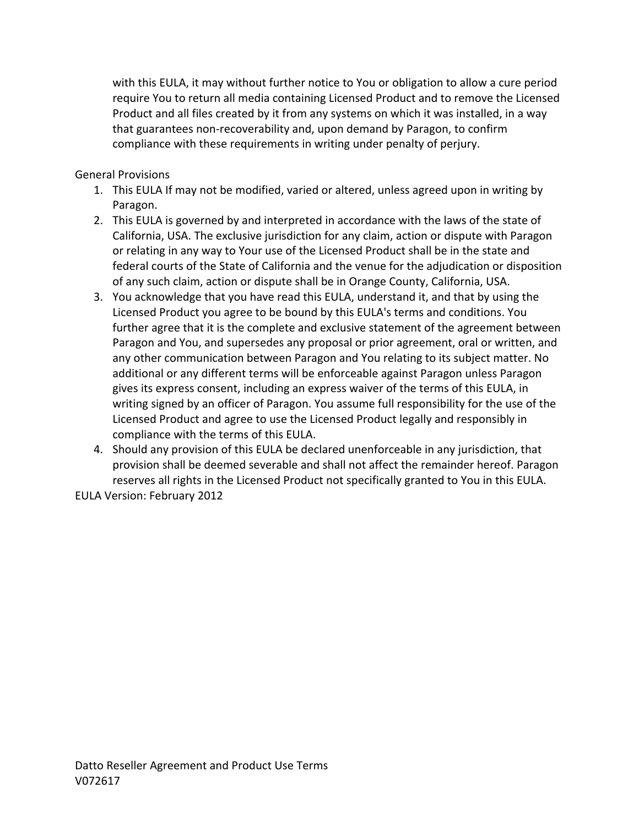with this EULA, it may without further notice to You or obligation to allow a cure period require You to return all media containing Licensed Product and to remove the Licensed Product and all files created by it from any systems on which it was installed, in a way that guarantees non-recoverability and, upon demand by Paragon, to confirm compliance with these requirements in writing under penalty of perjury.

# General Provisions

- 1. This EULA If may not be modified, varied or altered, unless agreed upon in writing by Paragon.
- 2. This EULA is governed by and interpreted in accordance with the laws of the state of California, USA. The exclusive jurisdiction for any claim, action or dispute with Paragon or relating in any way to Your use of the Licensed Product shall be in the state and federal courts of the State of California and the venue for the adjudication or disposition of any such claim, action or dispute shall be in Orange County, California, USA.
- 3. You acknowledge that you have read this EULA, understand it, and that by using the Licensed Product you agree to be bound by this EULA's terms and conditions. You further agree that it is the complete and exclusive statement of the agreement between Paragon and You, and supersedes any proposal or prior agreement, oral or written, and any other communication between Paragon and You relating to its subject matter. No additional or any different terms will be enforceable against Paragon unless Paragon gives its express consent, including an express waiver of the terms of this EULA, in writing signed by an officer of Paragon. You assume full responsibility for the use of the Licensed Product and agree to use the Licensed Product legally and responsibly in compliance with the terms of this EULA.
- 4. Should any provision of this EULA be declared unenforceable in any jurisdiction, that provision shall be deemed severable and shall not affect the remainder hereof. Paragon reserves all rights in the Licensed Product not specifically granted to You in this EULA.

EULA Version: February 2012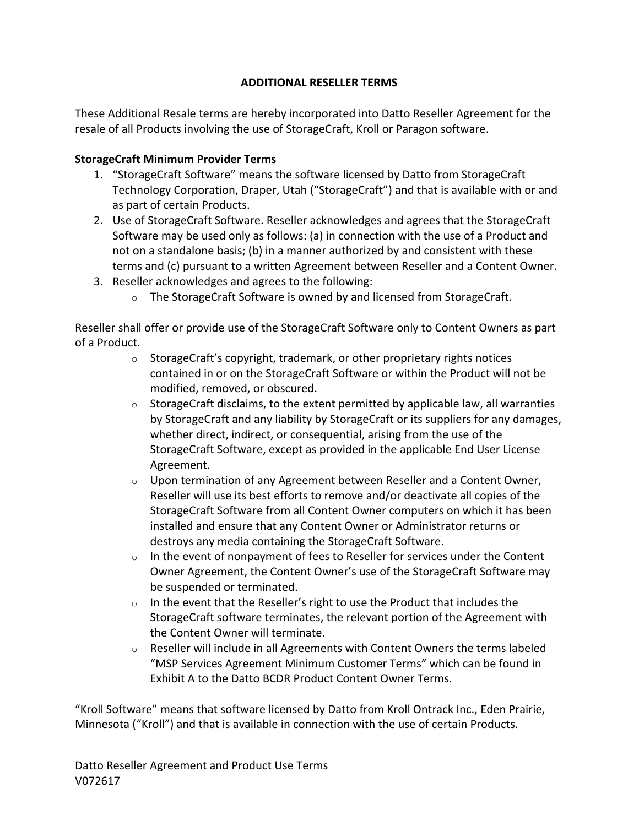# **ADDITIONAL RESELLER TERMS**

These Additional Resale terms are hereby incorporated into Datto Reseller Agreement for the resale of all Products involving the use of StorageCraft, Kroll or Paragon software.

## **StorageCraft Minimum Provider Terms**

- 1. "StorageCraft Software" means the software licensed by Datto from StorageCraft Technology Corporation, Draper, Utah ("StorageCraft") and that is available with or and as part of certain Products.
- 2. Use of StorageCraft Software. Reseller acknowledges and agrees that the StorageCraft Software may be used only as follows: (a) in connection with the use of a Product and not on a standalone basis; (b) in a manner authorized by and consistent with these terms and (c) pursuant to a written Agreement between Reseller and a Content Owner.
- 3. Reseller acknowledges and agrees to the following:
	- $\circ$  The StorageCraft Software is owned by and licensed from StorageCraft.

Reseller shall offer or provide use of the StorageCraft Software only to Content Owners as part of a Product.

- $\circ$  StorageCraft's copyright, trademark, or other proprietary rights notices contained in or on the StorageCraft Software or within the Product will not be modified, removed, or obscured.
- $\circ$  StorageCraft disclaims, to the extent permitted by applicable law, all warranties by StorageCraft and any liability by StorageCraft or its suppliers for any damages, whether direct, indirect, or consequential, arising from the use of the StorageCraft Software, except as provided in the applicable End User License Agreement.
- $\circ$  Upon termination of any Agreement between Reseller and a Content Owner, Reseller will use its best efforts to remove and/or deactivate all copies of the StorageCraft Software from all Content Owner computers on which it has been installed and ensure that any Content Owner or Administrator returns or destroys any media containing the StorageCraft Software.
- $\circ$  In the event of nonpayment of fees to Reseller for services under the Content Owner Agreement, the Content Owner's use of the StorageCraft Software may be suspended or terminated.
- $\circ$  In the event that the Reseller's right to use the Product that includes the StorageCraft software terminates, the relevant portion of the Agreement with the Content Owner will terminate.
- $\circ$  Reseller will include in all Agreements with Content Owners the terms labeled "MSP Services Agreement Minimum Customer Terms" which can be found in Exhibit A to the Datto BCDR Product Content Owner Terms.

"Kroll Software" means that software licensed by Datto from Kroll Ontrack Inc., Eden Prairie, Minnesota ("Kroll") and that is available in connection with the use of certain Products.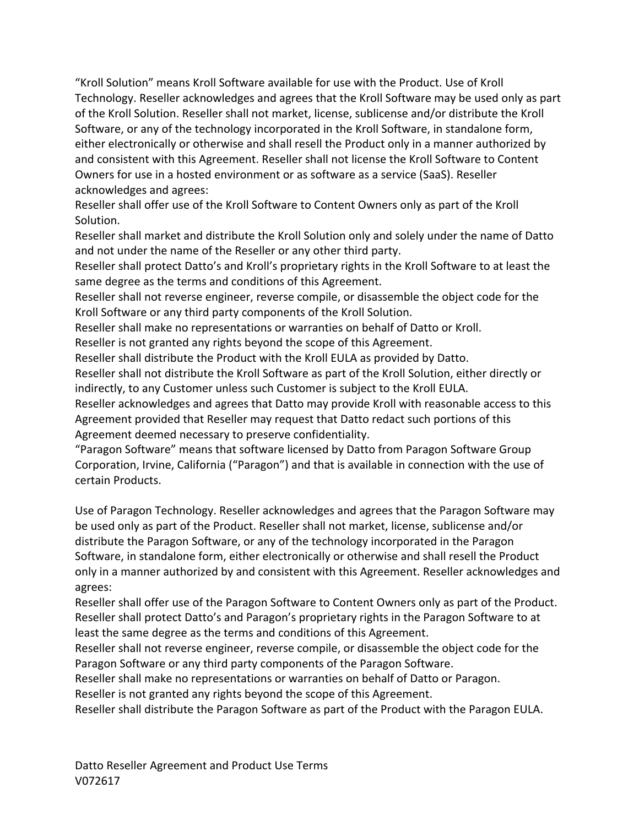"Kroll Solution" means Kroll Software available for use with the Product. Use of Kroll Technology. Reseller acknowledges and agrees that the Kroll Software may be used only as part of the Kroll Solution. Reseller shall not market, license, sublicense and/or distribute the Kroll Software, or any of the technology incorporated in the Kroll Software, in standalone form, either electronically or otherwise and shall resell the Product only in a manner authorized by and consistent with this Agreement. Reseller shall not license the Kroll Software to Content Owners for use in a hosted environment or as software as a service (SaaS). Reseller acknowledges and agrees:

Reseller shall offer use of the Kroll Software to Content Owners only as part of the Kroll Solution.

Reseller shall market and distribute the Kroll Solution only and solely under the name of Datto and not under the name of the Reseller or any other third party.

Reseller shall protect Datto's and Kroll's proprietary rights in the Kroll Software to at least the same degree as the terms and conditions of this Agreement.

Reseller shall not reverse engineer, reverse compile, or disassemble the object code for the Kroll Software or any third party components of the Kroll Solution.

Reseller shall make no representations or warranties on behalf of Datto or Kroll.

Reseller is not granted any rights beyond the scope of this Agreement.

Reseller shall distribute the Product with the Kroll EULA as provided by Datto.

Reseller shall not distribute the Kroll Software as part of the Kroll Solution, either directly or indirectly, to any Customer unless such Customer is subject to the Kroll EULA.

Reseller acknowledges and agrees that Datto may provide Kroll with reasonable access to this Agreement provided that Reseller may request that Datto redact such portions of this Agreement deemed necessary to preserve confidentiality.

"Paragon Software" means that software licensed by Datto from Paragon Software Group Corporation, Irvine, California ("Paragon") and that is available in connection with the use of certain Products.

Use of Paragon Technology. Reseller acknowledges and agrees that the Paragon Software may be used only as part of the Product. Reseller shall not market, license, sublicense and/or distribute the Paragon Software, or any of the technology incorporated in the Paragon Software, in standalone form, either electronically or otherwise and shall resell the Product only in a manner authorized by and consistent with this Agreement. Reseller acknowledges and agrees:

Reseller shall offer use of the Paragon Software to Content Owners only as part of the Product. Reseller shall protect Datto's and Paragon's proprietary rights in the Paragon Software to at least the same degree as the terms and conditions of this Agreement.

Reseller shall not reverse engineer, reverse compile, or disassemble the object code for the Paragon Software or any third party components of the Paragon Software.

Reseller shall make no representations or warranties on behalf of Datto or Paragon.

Reseller is not granted any rights beyond the scope of this Agreement.

Reseller shall distribute the Paragon Software as part of the Product with the Paragon EULA.